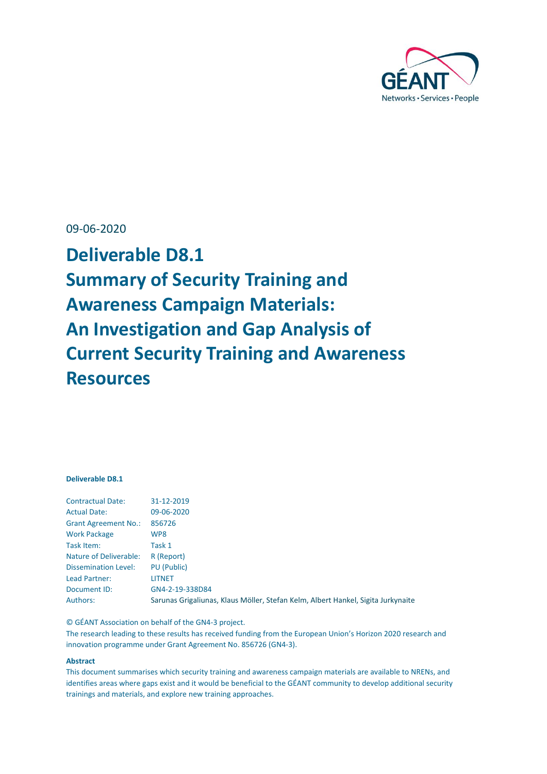

### 09-06-2020

**Deliverable D8.1 Summary of Security Training and Awareness Campaign Materials: An Investigation and Gap Analysis of Current Security Training and Awareness Resources**

### **Deliverable D8.1**

| <b>Contractual Date:</b>    | 31-12-2019                                                                       |
|-----------------------------|----------------------------------------------------------------------------------|
| <b>Actual Date:</b>         | 09-06-2020                                                                       |
| <b>Grant Agreement No.:</b> | 856726                                                                           |
| <b>Work Package</b>         | WP8                                                                              |
| Task Item:                  | Task 1                                                                           |
| Nature of Deliverable:      | R (Report)                                                                       |
| <b>Dissemination Level:</b> | PU (Public)                                                                      |
| Lead Partner:               | LITNET                                                                           |
| Document ID:                | GN4-2-19-338D84                                                                  |
| Authors:                    | Sarunas Grigaliunas, Klaus Möller, Stefan Kelm, Albert Hankel, Sigita Jurkynaite |

© GÉANT Association on behalf of the GN4-3 project.

The research leading to these results has received funding from the European Union's Horizon 2020 research and innovation programme under Grant Agreement No. 856726 (GN4-3).

#### **Abstract**

This document summarises which security training and awareness campaign materials are available to NRENs, and identifies areas where gaps exist and it would be beneficial to the GÉANT community to develop additional security trainings and materials, and explore new training approaches.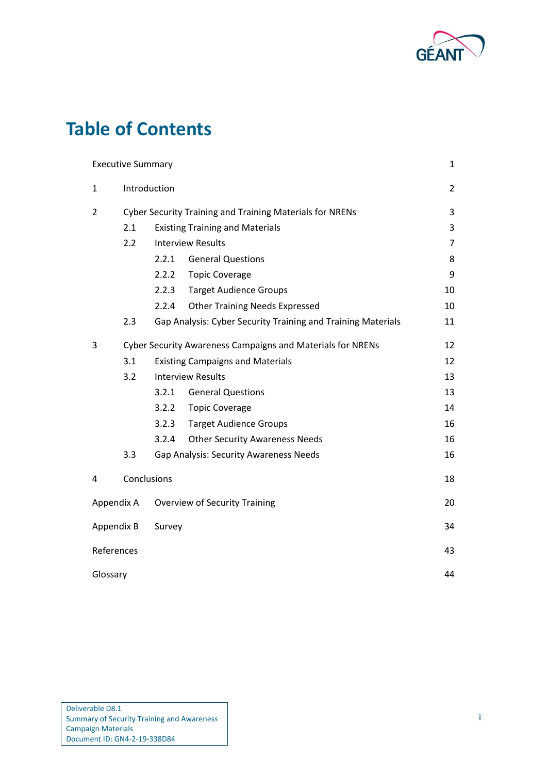

# **Table of Contents**

|                                                    | <b>Executive Summary</b>                                 |       |                                                              | 1              |  |  |  |
|----------------------------------------------------|----------------------------------------------------------|-------|--------------------------------------------------------------|----------------|--|--|--|
| $\mathbf{1}$                                       | Introduction                                             |       |                                                              |                |  |  |  |
| $\overline{2}$                                     | Cyber Security Training and Training Materials for NRENs |       |                                                              |                |  |  |  |
|                                                    | 2.1                                                      |       | <b>Existing Training and Materials</b>                       | 3              |  |  |  |
|                                                    | 2.2                                                      |       | <b>Interview Results</b>                                     | $\overline{7}$ |  |  |  |
|                                                    |                                                          | 2.2.1 | <b>General Questions</b>                                     | 8              |  |  |  |
|                                                    |                                                          | 2.2.2 | <b>Topic Coverage</b>                                        | 9              |  |  |  |
|                                                    |                                                          | 2.2.3 | <b>Target Audience Groups</b>                                | 10             |  |  |  |
|                                                    |                                                          | 2.2.4 | <b>Other Training Needs Expressed</b>                        | 10             |  |  |  |
|                                                    | 2.3                                                      |       | Gap Analysis: Cyber Security Training and Training Materials | 11             |  |  |  |
| 3                                                  |                                                          |       | Cyber Security Awareness Campaigns and Materials for NRENs   | 12             |  |  |  |
|                                                    | 3.1                                                      |       | <b>Existing Campaigns and Materials</b>                      | 12             |  |  |  |
|                                                    | 3.2                                                      |       | <b>Interview Results</b>                                     | 13             |  |  |  |
|                                                    |                                                          | 3.2.1 | <b>General Questions</b>                                     | 13             |  |  |  |
|                                                    |                                                          | 3.2.2 | <b>Topic Coverage</b>                                        | 14             |  |  |  |
|                                                    |                                                          | 3.2.3 | <b>Target Audience Groups</b>                                | 16             |  |  |  |
|                                                    |                                                          | 3.2.4 | <b>Other Security Awareness Needs</b>                        | 16             |  |  |  |
|                                                    | 3.3                                                      |       | <b>Gap Analysis: Security Awareness Needs</b>                | 16             |  |  |  |
| 4                                                  | Conclusions                                              |       |                                                              | 18             |  |  |  |
| Appendix A<br><b>Overview of Security Training</b> |                                                          |       |                                                              |                |  |  |  |
|                                                    | Appendix B<br>Survey                                     |       |                                                              | 34             |  |  |  |
| References                                         |                                                          |       |                                                              | 43             |  |  |  |
| Glossary                                           |                                                          |       |                                                              |                |  |  |  |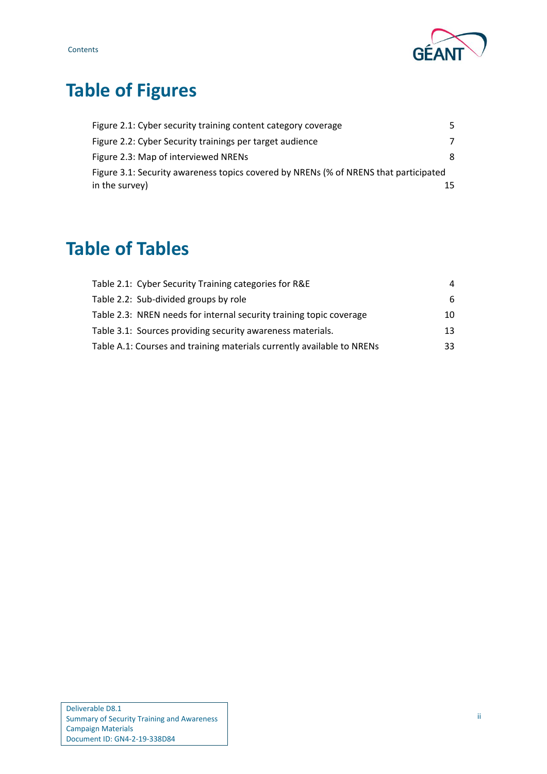

# **Table of Figures**

| Figure 2.1: Cyber security training content category coverage                        | 5. |
|--------------------------------------------------------------------------------------|----|
| Figure 2.2: Cyber Security trainings per target audience                             | 7  |
| Figure 2.3: Map of interviewed NRENs                                                 | 8. |
| Figure 3.1: Security awareness topics covered by NRENs (% of NRENS that participated |    |
| in the survey)                                                                       |    |

# **Table of Tables**

| Table 2.1: Cyber Security Training categories for R&E                  | 4   |
|------------------------------------------------------------------------|-----|
| Table 2.2: Sub-divided groups by role                                  | 6.  |
| Table 2.3: NREN needs for internal security training topic coverage    | 10  |
| Table 3.1: Sources providing security awareness materials.             | 13  |
| Table A.1: Courses and training materials currently available to NRENs | 33. |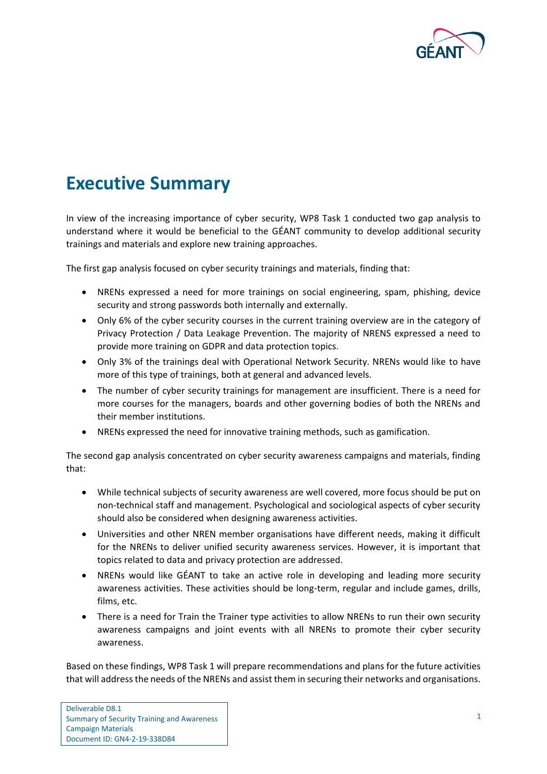

## <span id="page-3-0"></span>**Executive Summary**

In view of the increasing importance of cyber security, WP8 Task 1 conducted two gap analysis to understand where it would be beneficial to the GÉANT community to develop additional security trainings and materials and explore new training approaches.

The first gap analysis focused on cyber security trainings and materials, finding that:

- NRENs expressed a need for more trainings on social engineering, spam, phishing, device security and strong passwords both internally and externally.
- Only 6% of the cyber security courses in the current training overview are in the category of Privacy Protection / Data Leakage Prevention. The majority of NRENS expressed a need to provide more training on GDPR and data protection topics.
- Only 3% of the trainings deal with Operational Network Security. NRENs would like to have more of this type of trainings, both at general and advanced levels.
- The number of cyber security trainings for management are insufficient. There is a need for more courses for the managers, boards and other governing bodies of both the NRENs and their member institutions.
- NRENs expressed the need for innovative training methods, such as gamification.

The second gap analysis concentrated on cyber security awareness campaigns and materials, finding that:

- While technical subjects of security awareness are well covered, more focus should be put on non-technical staff and management. Psychological and sociological aspects of cyber security should also be considered when designing awareness activities.
- Universities and other NREN member organisations have different needs, making it difficult for the NRENs to deliver unified security awareness services. However, it is important that topics related to data and privacy protection are addressed.
- NRENs would like GÉANT to take an active role in developing and leading more security awareness activities. These activities should be long-term, regular and include games, drills, films, etc.
- There is a need for Train the Trainer type activities to allow NRENs to run their own security awareness campaigns and joint events with all NRENs to promote their cyber security awareness.

Based on these findings, WP8 Task 1 will prepare recommendations and plans for the future activities that will address the needs of the NRENs and assist them in securing their networks and organisations.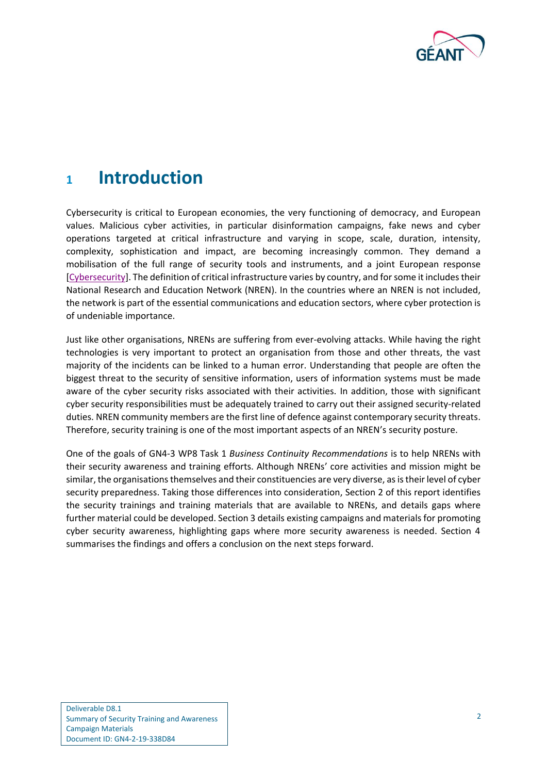

## <span id="page-4-0"></span>**<sup>1</sup> Introduction**

Cybersecurity is critical to European economies, the very functioning of democracy, and European values. Malicious cyber activities, in particular disinformation campaigns, fake news and cyber operations targeted at critical infrastructure and varying in scope, scale, duration, intensity, complexity, sophistication and impact, are becoming increasingly common. They demand a mobilisation of the full range of security tools and instruments, and a joint European response [\[Cybersecurity\]](#page-45-1). The definition of critical infrastructure varies by country, and for some it includes their National Research and Education Network (NREN). In the countries where an NREN is not included, the network is part of the essential communications and education sectors, where cyber protection is of undeniable importance.

Just like other organisations, NRENs are suffering from ever-evolving attacks. While having the right technologies is very important to protect an organisation from those and other threats, the vast majority of the incidents can be linked to a human error. Understanding that people are often the biggest threat to the security of sensitive information, users of information systems must be made aware of the cyber security risks associated with their activities. In addition, those with significant cyber security responsibilities must be adequately trained to carry out their assigned security-related duties. NREN community members are the first line of defence against contemporary security threats. Therefore, security training is one of the most important aspects of an NREN's security posture.

One of the goals of GN4-3 WP8 Task 1 *Business Continuity Recommendations* is to help NRENs with their security awareness and training efforts. Although NRENs' core activities and mission might be similar, the organisations themselves and their constituencies are very diverse, as is their level of cyber security preparedness. Taking those differences into consideration, Section 2 of this report identifies the security trainings and training materials that are available to NRENs, and details gaps where further material could be developed. Section 3 details existing campaigns and materials for promoting cyber security awareness, highlighting gaps where more security awareness is needed. Section 4 summarises the findings and offers a conclusion on the next steps forward.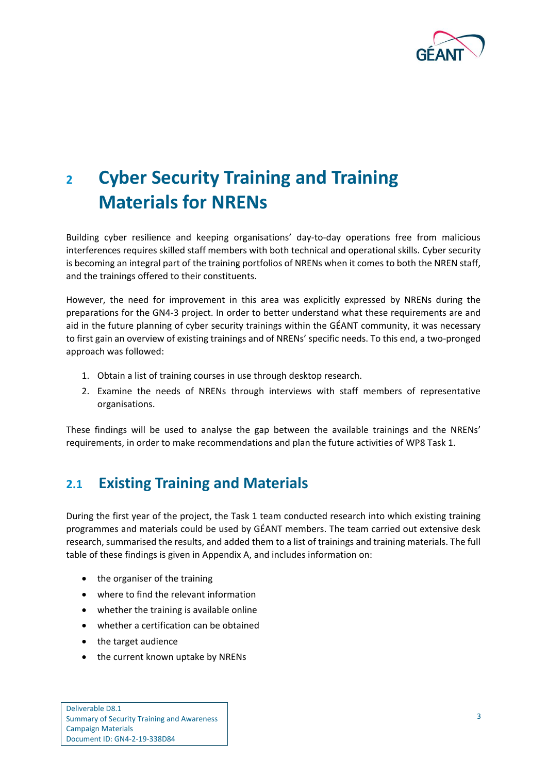

# <span id="page-5-0"></span>**<sup>2</sup> Cyber Security Training and Training Materials for NRENs**

Building cyber resilience and keeping organisations' day-to-day operations free from malicious interferences requires skilled staff members with both technical and operational skills. Cyber security is becoming an integral part of the training portfolios of NRENs when it comes to both the NREN staff, and the trainings offered to their constituents.

However, the need for improvement in this area was explicitly expressed by NRENs during the preparations for the GN4-3 project. In order to better understand what these requirements are and aid in the future planning of cyber security trainings within the GÉANT community, it was necessary to first gain an overview of existing trainings and of NRENs' specific needs. To this end, a two-pronged approach was followed:

- 1. Obtain a list of training courses in use through desktop research.
- 2. Examine the needs of NRENs through interviews with staff members of representative organisations.

These findings will be used to analyse the gap between the available trainings and the NRENs' requirements, in order to make recommendations and plan the future activities of WP8 Task 1.

## <span id="page-5-1"></span>**2.1 Existing Training and Materials**

During the first year of the project, the Task 1 team conducted research into which existing training programmes and materials could be used by GÉANT members. The team carried out extensive desk research, summarised the results, and added them to a list of trainings and training materials. The full table of these findings is given in [Appendix A,](#page-22-0) and includes information on:

- the organiser of the training
- where to find the relevant information
- whether the training is available online
- whether a certification can be obtained
- the target audience
- the current known uptake by NRENs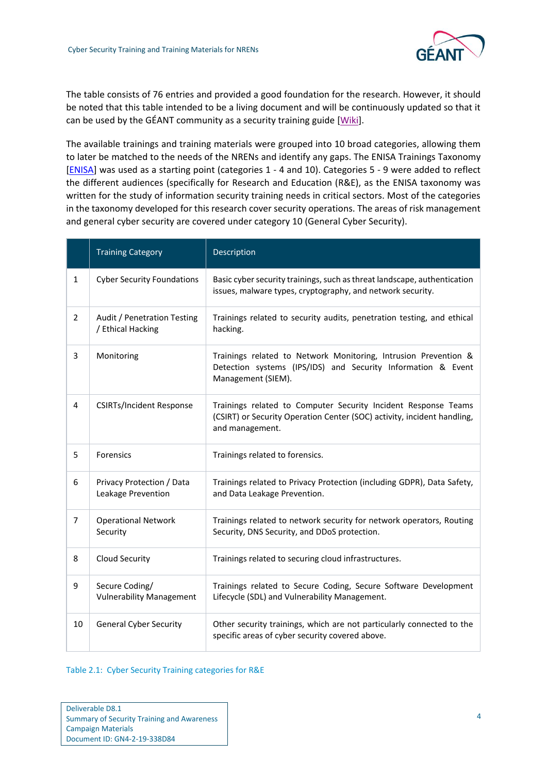

The table consists of 76 entries and provided a good foundation for the research. However, it should be noted that this table intended to be a living document and will be continuously updated so that it can be used by the GÉANT community as a security training guide [\[Wiki\]](#page-45-2).

The available trainings and training materials were grouped into 10 broad categories, allowing them to later be matched to the needs of the NRENs and identify any gaps. The ENISA Trainings Taxonomy [\[ENISA\]](#page-45-3) was used as a starting point (categories 1 - 4 and 10). Categories 5 - 9 were added to reflect the different audiences (specifically for Research and Education (R&E), as the ENISA taxonomy was written for the study of information security training needs in critical sectors. Most of the categories in the taxonomy developed for this research cover security operations. The areas of risk management and general cyber security are covered under category 10 (General Cyber Security).

|                | <b>Training Category</b>                          | Description                                                                                                                                                  |
|----------------|---------------------------------------------------|--------------------------------------------------------------------------------------------------------------------------------------------------------------|
| $\mathbf{1}$   | <b>Cyber Security Foundations</b>                 | Basic cyber security trainings, such as threat landscape, authentication<br>issues, malware types, cryptography, and network security.                       |
| $\overline{2}$ | Audit / Penetration Testing<br>/ Ethical Hacking  | Trainings related to security audits, penetration testing, and ethical<br>hacking.                                                                           |
| 3              | Monitoring                                        | Trainings related to Network Monitoring, Intrusion Prevention &<br>Detection systems (IPS/IDS) and Security Information & Event<br>Management (SIEM).        |
| 4              | <b>CSIRTs/Incident Response</b>                   | Trainings related to Computer Security Incident Response Teams<br>(CSIRT) or Security Operation Center (SOC) activity, incident handling,<br>and management. |
| 5              | Forensics                                         | Trainings related to forensics.                                                                                                                              |
| 6              | Privacy Protection / Data<br>Leakage Prevention   | Trainings related to Privacy Protection (including GDPR), Data Safety,<br>and Data Leakage Prevention.                                                       |
| 7              | <b>Operational Network</b><br>Security            | Trainings related to network security for network operators, Routing<br>Security, DNS Security, and DDoS protection.                                         |
| 8              | Cloud Security                                    | Trainings related to securing cloud infrastructures.                                                                                                         |
| 9              | Secure Coding/<br><b>Vulnerability Management</b> | Trainings related to Secure Coding, Secure Software Development<br>Lifecycle (SDL) and Vulnerability Management.                                             |
| 10             | <b>General Cyber Security</b>                     | Other security trainings, which are not particularly connected to the<br>specific areas of cyber security covered above.                                     |

#### <span id="page-6-0"></span>Table 2.1: Cyber Security Training categories for R&E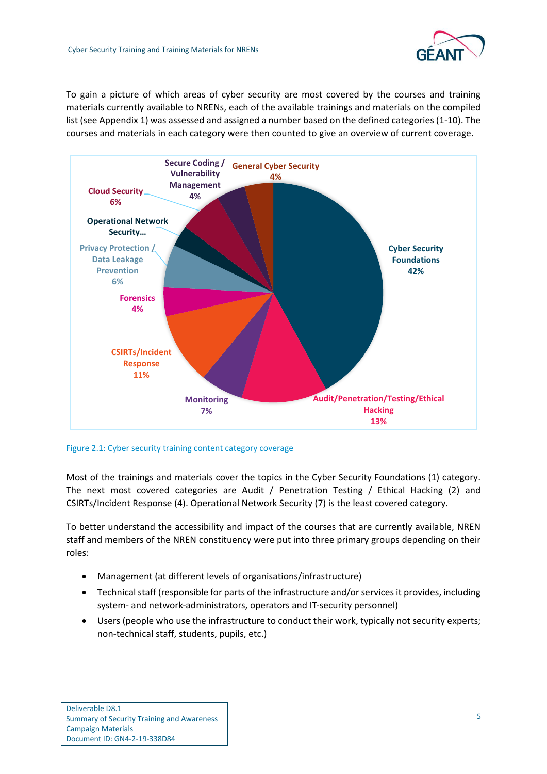

To gain a picture of which areas of cyber security are most covered by the courses and training materials currently available to NRENs, each of the available trainings and materials on the compiled list (see Appendix 1) was assessed and assigned a number based on the defined categories (1-10). The courses and materials in each category were then counted to give an overview of current coverage.



<span id="page-7-0"></span>Figure 2.1: Cyber security training content category coverage

Most of the trainings and materials cover the topics in the Cyber Security Foundations (1) category. The next most covered categories are Audit / Penetration Testing / Ethical Hacking (2) and CSIRTs/Incident Response (4). Operational Network Security (7) is the least covered category.

To better understand the accessibility and impact of the courses that are currently available, NREN staff and members of the NREN constituency were put into three primary groups depending on their roles:

- Management (at different levels of organisations/infrastructure)
- Technical staff (responsible for parts of the infrastructure and/or services it provides, including system- and network-administrators, operators and IT-security personnel)
- Users (people who use the infrastructure to conduct their work, typically not security experts; non-technical staff, students, pupils, etc.)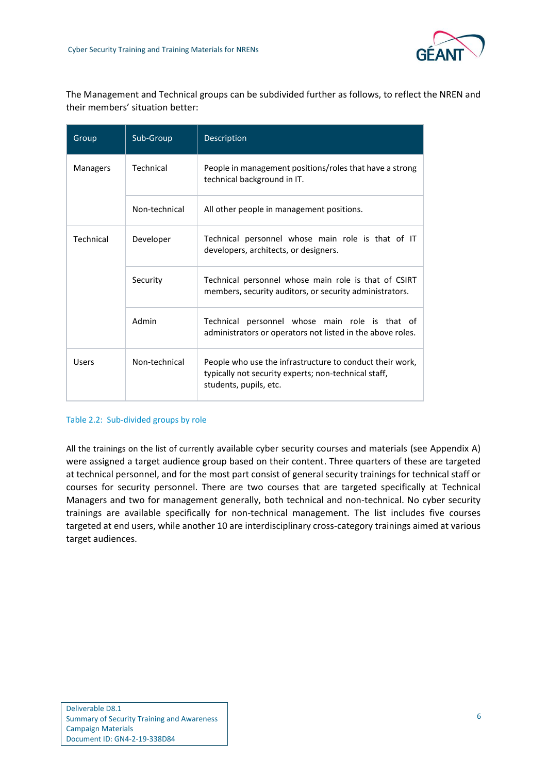The Management and Technical groups can be subdivided further as follows, to reflect the NREN and their members' situation better:

| Group           | Sub-Group     | <b>Description</b>                                                                                                                         |  |  |  |  |
|-----------------|---------------|--------------------------------------------------------------------------------------------------------------------------------------------|--|--|--|--|
| <b>Managers</b> | Technical     | People in management positions/roles that have a strong<br>technical background in IT.                                                     |  |  |  |  |
|                 | Non-technical | All other people in management positions.                                                                                                  |  |  |  |  |
| Technical       | Developer     | Technical personnel whose main role is that of IT<br>developers, architects, or designers.                                                 |  |  |  |  |
|                 | Security      | Technical personnel whose main role is that of CSIRT<br>members, security auditors, or security administrators.                            |  |  |  |  |
|                 | Admin         | Technical personnel whose main role is that of<br>administrators or operators not listed in the above roles.                               |  |  |  |  |
| <b>Users</b>    | Non-technical | People who use the infrastructure to conduct their work,<br>typically not security experts; non-technical staff,<br>students, pupils, etc. |  |  |  |  |

#### <span id="page-8-0"></span>Table 2.2: Sub-divided groups by role

All the trainings on the list of currently available cyber security courses and materials (see Appendix A) were assigned a target audience group based on their content. Three quarters of these are targeted at technical personnel, and for the most part consist of general security trainings for technical staff or courses for security personnel. There are two courses that are targeted specifically at Technical Managers and two for management generally, both technical and non-technical. No cyber security trainings are available specifically for non-technical management. The list includes five courses targeted at end users, while another 10 are interdisciplinary cross-category trainings aimed at various target audiences.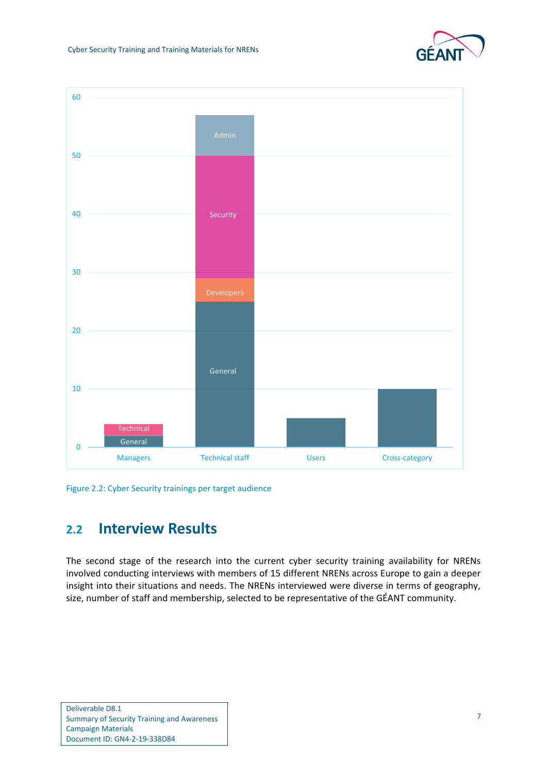



<span id="page-9-1"></span>Figure 2.2: Cyber Security trainings per target audience

## <span id="page-9-0"></span>**2.2 Interview Results**

The second stage of the research into the current cyber security training availability for NRENs involved conducting interviews with members of 15 different NRENs across Europe to gain a deeper insight into their situations and needs. The NRENs interviewed were diverse in terms of geography, size, number of staff and membership, selected to be representative of the GÉANT community.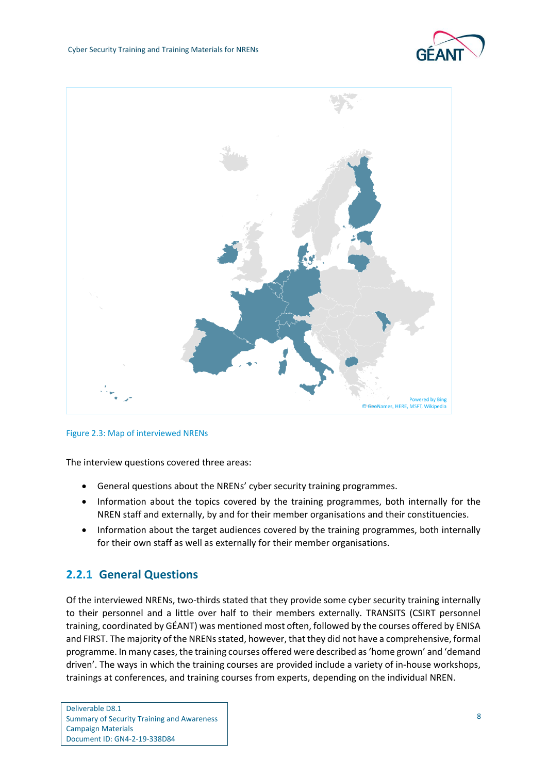



<span id="page-10-1"></span>

The interview questions covered three areas:

- General questions about the NRENs' cyber security training programmes.
- Information about the topics covered by the training programmes, both internally for the NREN staff and externally, by and for their member organisations and their constituencies.
- Information about the target audiences covered by the training programmes, both internally for their own staff as well as externally for their member organisations.

### <span id="page-10-0"></span>**2.2.1 General Questions**

Of the interviewed NRENs, two-thirds stated that they provide some cyber security training internally to their personnel and a little over half to their members externally. TRANSITS (CSIRT personnel training, coordinated by GÉANT) was mentioned most often, followed by the courses offered by ENISA and FIRST. The majority of the NRENs stated, however, that they did not have a comprehensive, formal programme. In many cases, the training courses offered were described as 'home grown' and 'demand driven'. The ways in which the training courses are provided include a variety of in-house workshops, trainings at conferences, and training courses from experts, depending on the individual NREN.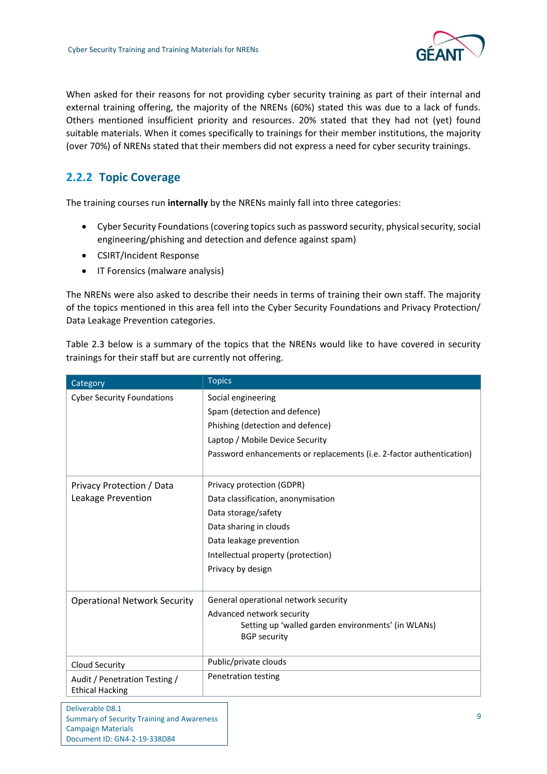

When asked for their reasons for not providing cyber security training as part of their internal and external training offering, the majority of the NRENs (60%) stated this was due to a lack of funds. Others mentioned insufficient priority and resources. 20% stated that they had not (yet) found suitable materials. When it comes specifically to trainings for their member institutions, the majority (over 70%) of NRENs stated that their members did not express a need for cyber security trainings.

## <span id="page-11-0"></span>**2.2.2 Topic Coverage**

The training courses run **internally** by the NRENs mainly fall into three categories:

- Cyber Security Foundations (covering topics such as password security, physical security, social engineering/phishing and detection and defence against spam)
- CSIRT/Incident Response
- IT Forensics (malware analysis)

The NRENs were also asked to describe their needs in terms of training their own staff. The majority of the topics mentioned in this area fell into the Cyber Security Foundations and Privacy Protection/ Data Leakage Prevention categories.

[Table 2.3](#page-12-2) below is a summary of the topics that the NRENs would like to have covered in security trainings for their staff but are currently not offering.

| Category                                                | <b>Topics</b>                                                                                                                                                                                          |
|---------------------------------------------------------|--------------------------------------------------------------------------------------------------------------------------------------------------------------------------------------------------------|
| <b>Cyber Security Foundations</b>                       | Social engineering<br>Spam (detection and defence)<br>Phishing (detection and defence)<br>Laptop / Mobile Device Security<br>Password enhancements or replacements (i.e. 2-factor authentication)      |
| Privacy Protection / Data<br>Leakage Prevention         | Privacy protection (GDPR)<br>Data classification, anonymisation<br>Data storage/safety<br>Data sharing in clouds<br>Data leakage prevention<br>Intellectual property (protection)<br>Privacy by design |
| <b>Operational Network Security</b>                     | General operational network security<br>Advanced network security<br>Setting up 'walled garden environments' (in WLANs)<br><b>BGP</b> security                                                         |
| <b>Cloud Security</b>                                   | Public/private clouds                                                                                                                                                                                  |
| Audit / Penetration Testing /<br><b>Ethical Hacking</b> | Penetration testing                                                                                                                                                                                    |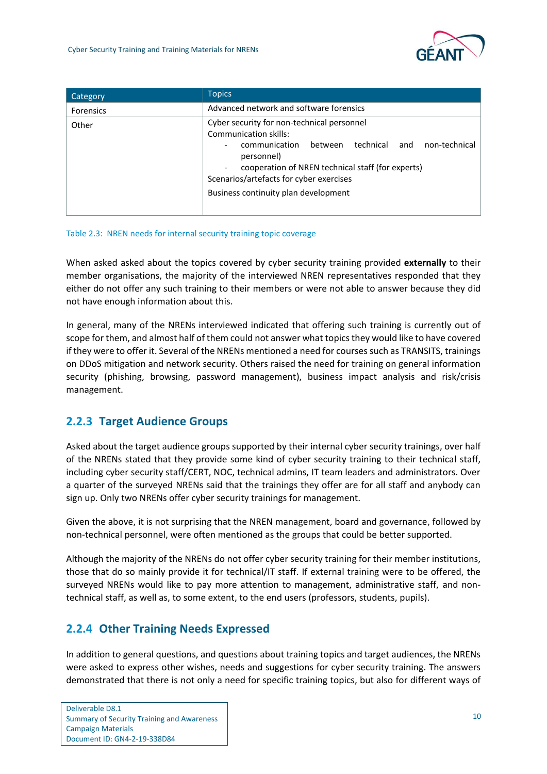

| Category         | <b>Topics</b>                                                                                                                                                                                                                                                                              |  |  |  |  |  |  |
|------------------|--------------------------------------------------------------------------------------------------------------------------------------------------------------------------------------------------------------------------------------------------------------------------------------------|--|--|--|--|--|--|
| <b>Forensics</b> | Advanced network and software forensics                                                                                                                                                                                                                                                    |  |  |  |  |  |  |
| Other            | Cyber security for non-technical personnel<br>Communication skills:<br>technical<br>non-technical<br>and<br>between<br>communication<br>personnel)<br>cooperation of NREN technical staff (for experts)<br>Scenarios/artefacts for cyber exercises<br>Business continuity plan development |  |  |  |  |  |  |

#### <span id="page-12-2"></span>Table 2.3: NREN needs for internal security training topic coverage

When asked asked about the topics covered by cyber security training provided **externally** to their member organisations, the majority of the interviewed NREN representatives responded that they either do not offer any such training to their members or were not able to answer because they did not have enough information about this.

In general, many of the NRENs interviewed indicated that offering such training is currently out of scope for them, and almost half of them could not answer what topics they would like to have covered if they were to offer it. Several of the NRENs mentioned a need for courses such as TRANSITS, trainings on DDoS mitigation and network security. Others raised the need for training on general information security (phishing, browsing, password management), business impact analysis and risk/crisis management.

## <span id="page-12-0"></span>**2.2.3 Target Audience Groups**

Asked about the target audience groups supported by their internal cyber security trainings, over half of the NRENs stated that they provide some kind of cyber security training to their technical staff, including cyber security staff/CERT, NOC, technical admins, IT team leaders and administrators. Over a quarter of the surveyed NRENs said that the trainings they offer are for all staff and anybody can sign up. Only two NRENs offer cyber security trainings for management.

Given the above, it is not surprising that the NREN management, board and governance, followed by non-technical personnel, were often mentioned as the groups that could be better supported.

Although the majority of the NRENs do not offer cyber security training for their member institutions, those that do so mainly provide it for technical/IT staff. If external training were to be offered, the surveyed NRENs would like to pay more attention to management, administrative staff, and nontechnical staff, as well as, to some extent, to the end users (professors, students, pupils).

## <span id="page-12-1"></span>**2.2.4 Other Training Needs Expressed**

In addition to general questions, and questions about training topics and target audiences, the NRENs were asked to express other wishes, needs and suggestions for cyber security training. The answers demonstrated that there is not only a need for specific training topics, but also for different ways of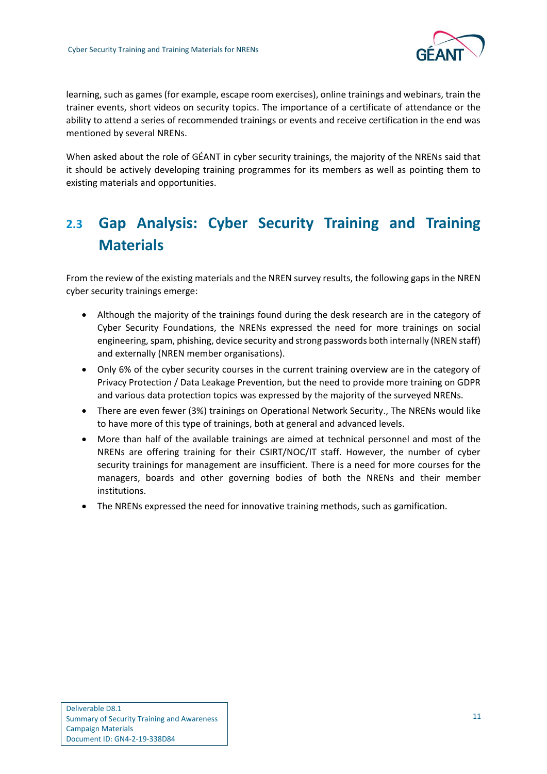

learning, such as games (for example, escape room exercises), online trainings and webinars, train the trainer events, short videos on security topics. The importance of a certificate of attendance or the ability to attend a series of recommended trainings or events and receive certification in the end was mentioned by several NRENs.

When asked about the role of GÉANT in cyber security trainings, the majority of the NRENs said that it should be actively developing training programmes for its members as well as pointing them to existing materials and opportunities.

## <span id="page-13-0"></span>**2.3 Gap Analysis: Cyber Security Training and Training Materials**

From the review of the existing materials and the NREN survey results, the following gaps in the NREN cyber security trainings emerge:

- Although the majority of the trainings found during the desk research are in the category of Cyber Security Foundations, the NRENs expressed the need for more trainings on social engineering, spam, phishing, device security and strong passwords both internally (NREN staff) and externally (NREN member organisations).
- Only 6% of the cyber security courses in the current training overview are in the category of Privacy Protection / Data Leakage Prevention, but the need to provide more training on GDPR and various data protection topics was expressed by the majority of the surveyed NRENs.
- There are even fewer (3%) trainings on Operational Network Security., The NRENs would like to have more of this type of trainings, both at general and advanced levels.
- More than half of the available trainings are aimed at technical personnel and most of the NRENs are offering training for their CSIRT/NOC/IT staff. However, the number of cyber security trainings for management are insufficient. There is a need for more courses for the managers, boards and other governing bodies of both the NRENs and their member institutions.
- The NRENs expressed the need for innovative training methods, such as gamification.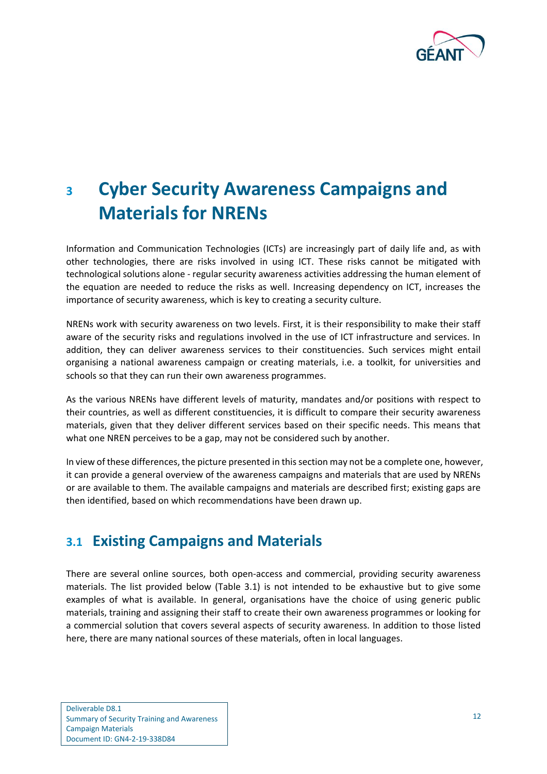

# <span id="page-14-0"></span>**<sup>3</sup> Cyber Security Awareness Campaigns and Materials for NRENs**

Information and Communication Technologies (ICTs) are increasingly part of daily life and, as with other technologies, there are risks involved in using ICT. These risks cannot be mitigated with technological solutions alone - regular security awareness activities addressing the human element of the equation are needed to reduce the risks as well. Increasing dependency on ICT, increases the importance of security awareness, which is key to creating a security culture.

NRENs work with security awareness on two levels. First, it is their responsibility to make their staff aware of the security risks and regulations involved in the use of ICT infrastructure and services. In addition, they can deliver awareness services to their constituencies. Such services might entail organising a national awareness campaign or creating materials, i.e. a toolkit, for universities and schools so that they can run their own awareness programmes.

As the various NRENs have different levels of maturity, mandates and/or positions with respect to their countries, as well as different constituencies, it is difficult to compare their security awareness materials, given that they deliver different services based on their specific needs. This means that what one NREN perceives to be a gap, may not be considered such by another.

In view of these differences, the picture presented in this section may not be a complete one, however, it can provide a general overview of the awareness campaigns and materials that are used by NRENs or are available to them. The available campaigns and materials are described first; existing gaps are then identified, based on which recommendations have been drawn up.

## <span id="page-14-1"></span>**3.1 Existing Campaigns and Materials**

There are several online sources, both open-access and commercial, providing security awareness materials. The list provided below [\(Table 3.1\)](#page-15-2) is not intended to be exhaustive but to give some examples of what is available. In general, organisations have the choice of using generic public materials, training and assigning their staff to create their own awareness programmes or looking for a commercial solution that covers several aspects of security awareness. In addition to those listed here, there are many national sources of these materials, often in local languages.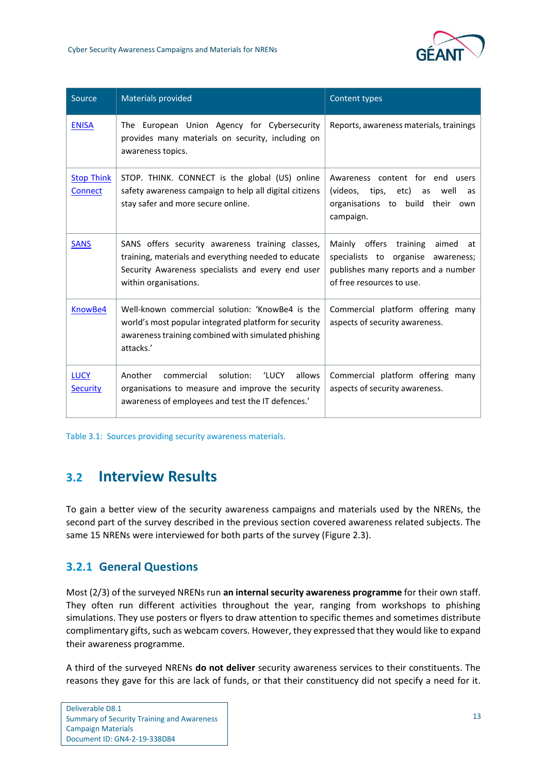

| Source                              | <b>Materials provided</b>                                                                                                                                                              | Content types                                                                                                                                   |
|-------------------------------------|----------------------------------------------------------------------------------------------------------------------------------------------------------------------------------------|-------------------------------------------------------------------------------------------------------------------------------------------------|
| <b>ENISA</b>                        | The European Union Agency for Cybersecurity<br>provides many materials on security, including on<br>awareness topics.                                                                  | Reports, awareness materials, trainings                                                                                                         |
| <b>Stop Think</b><br><b>Connect</b> | STOP. THINK. CONNECT is the global (US) online<br>safety awareness campaign to help all digital citizens<br>stay safer and more secure online.                                         | Awareness content for end users<br>(videos, tips, etc)<br>well<br>as<br>as<br>organisations to build their<br>own<br>campaign.                  |
| <b>SANS</b>                         | SANS offers security awareness training classes,<br>training, materials and everything needed to educate<br>Security Awareness specialists and every end user<br>within organisations. | Mainly offers training<br>aimed<br>at<br>specialists to organise awareness;<br>publishes many reports and a number<br>of free resources to use. |
| KnowBe4                             | Well-known commercial solution: 'KnowBe4 is the<br>world's most popular integrated platform for security<br>awareness training combined with simulated phishing<br>attacks.'           | Commercial platform offering many<br>aspects of security awareness.                                                                             |
| <b>LUCY</b><br><b>Security</b>      | Another<br>solution: 'LUCY<br>allows<br>commercial<br>organisations to measure and improve the security<br>awareness of employees and test the IT defences.'                           | Commercial platform offering many<br>aspects of security awareness.                                                                             |

<span id="page-15-2"></span>Table 3.1: Sources providing security awareness materials.

## <span id="page-15-0"></span>**3.2 Interview Results**

To gain a better view of the security awareness campaigns and materials used by the NRENs, the second part of the survey described in the previous section covered awareness related subjects. The same 15 NRENs were interviewed for both parts of the survey [\(Figure 2.3\)](#page-10-1).

## <span id="page-15-1"></span>**3.2.1 General Questions**

Most (2/3) of the surveyed NRENs run **an internal security awareness programme** for their own staff. They often run different activities throughout the year, ranging from workshops to phishing simulations. They use posters or flyers to draw attention to specific themes and sometimes distribute complimentary gifts, such as webcam covers. However, they expressed that they would like to expand their awareness programme.

A third of the surveyed NRENs **do not deliver** security awareness services to their constituents. The reasons they gave for this are lack of funds, or that their constituency did not specify a need for it.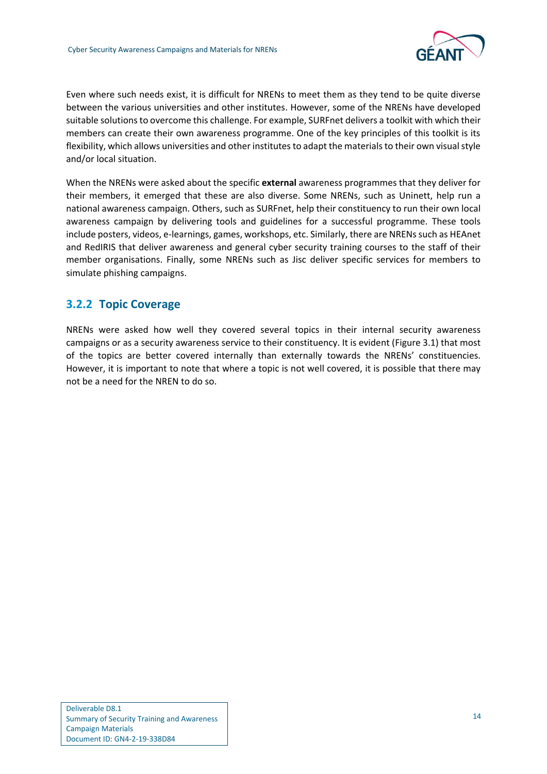

Even where such needs exist, it is difficult for NRENs to meet them as they tend to be quite diverse between the various universities and other institutes. However, some of the NRENs have developed suitable solutions to overcome this challenge. For example, SURFnet delivers a toolkit with which their members can create their own awareness programme. One of the key principles of this toolkit is its flexibility, which allows universities and other institutes to adapt the materials to their own visual style and/or local situation.

When the NRENs were asked about the specific **external** awareness programmes that they deliver for their members, it emerged that these are also diverse. Some NRENs, such as Uninett, help run a national awareness campaign. Others, such as SURFnet, help their constituency to run their own local awareness campaign by delivering tools and guidelines for a successful programme. These tools include posters, videos, e-learnings, games, workshops, etc. Similarly, there are NRENs such as HEAnet and RedIRIS that deliver awareness and general cyber security training courses to the staff of their member organisations. Finally, some NRENs such as Jisc deliver specific services for members to simulate phishing campaigns.

### <span id="page-16-0"></span>**3.2.2 Topic Coverage**

NRENs were asked how well they covered several topics in their internal security awareness campaigns or as a security awareness service to their constituency. It is evident [\(Figure 3.1\)](#page-17-0) that most of the topics are better covered internally than externally towards the NRENs' constituencies. However, it is important to note that where a topic is not well covered, it is possible that there may not be a need for the NREN to do so.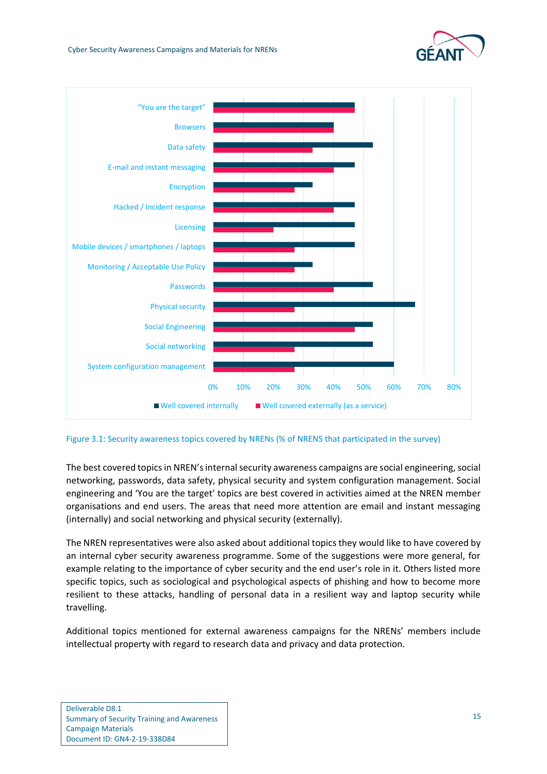



<span id="page-17-0"></span>Figure 3.1: Security awareness topics covered by NRENs (% of NRENS that participated in the survey)

The best covered topics in NREN's internal security awareness campaigns are social engineering, social networking, passwords, data safety, physical security and system configuration management. Social engineering and 'You are the target' topics are best covered in activities aimed at the NREN member organisations and end users. The areas that need more attention are email and instant messaging (internally) and social networking and physical security (externally).

The NREN representatives were also asked about additional topics they would like to have covered by an internal cyber security awareness programme. Some of the suggestions were more general, for example relating to the importance of cyber security and the end user's role in it. Others listed more specific topics, such as sociological and psychological aspects of phishing and how to become more resilient to these attacks, handling of personal data in a resilient way and laptop security while travelling.

Additional topics mentioned for external awareness campaigns for the NRENs' members include intellectual property with regard to research data and privacy and data protection.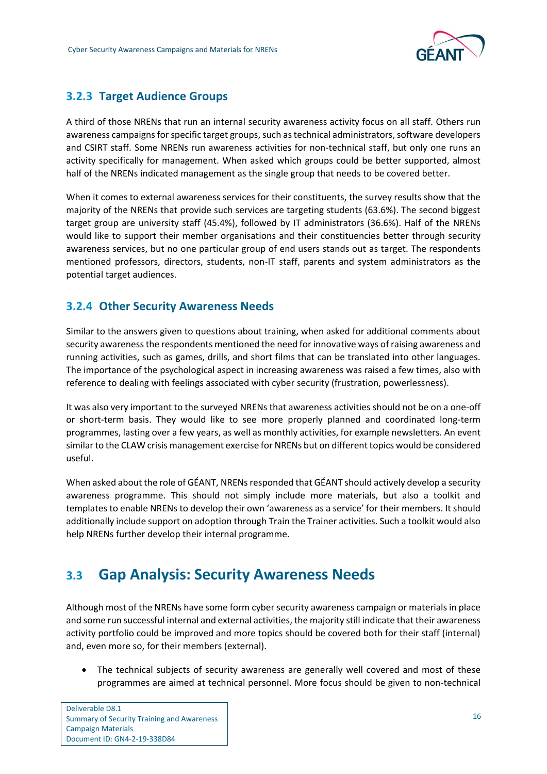

## <span id="page-18-0"></span>**3.2.3 Target Audience Groups**

A third of those NRENs that run an internal security awareness activity focus on all staff. Others run awareness campaigns for specific target groups, such as technical administrators, software developers and CSIRT staff. Some NRENs run awareness activities for non-technical staff, but only one runs an activity specifically for management. When asked which groups could be better supported, almost half of the NRENs indicated management as the single group that needs to be covered better.

When it comes to external awareness services for their constituents, the survey results show that the majority of the NRENs that provide such services are targeting students (63.6%). The second biggest target group are university staff (45.4%), followed by IT administrators (36.6%). Half of the NRENs would like to support their member organisations and their constituencies better through security awareness services, but no one particular group of end users stands out as target. The respondents mentioned professors, directors, students, non-IT staff, parents and system administrators as the potential target audiences.

## <span id="page-18-1"></span>**3.2.4 Other Security Awareness Needs**

Similar to the answers given to questions about training, when asked for additional comments about security awareness the respondents mentioned the need for innovative ways of raising awareness and running activities, such as games, drills, and short films that can be translated into other languages. The importance of the psychological aspect in increasing awareness was raised a few times, also with reference to dealing with feelings associated with cyber security (frustration, powerlessness).

It was also very important to the surveyed NRENs that awareness activities should not be on a one-off or short-term basis. They would like to see more properly planned and coordinated long-term programmes, lasting over a few years, as well as monthly activities, for example newsletters. An event similar to the CLAW crisis management exercise for NRENs but on different topics would be considered useful.

When asked about the role of GÉANT, NRENs responded that GÉANT should actively develop a security awareness programme. This should not simply include more materials, but also a toolkit and templates to enable NRENs to develop their own 'awareness as a service' for their members. It should additionally include support on adoption through Train the Trainer activities. Such a toolkit would also help NRENs further develop their internal programme.

## <span id="page-18-2"></span>**3.3 Gap Analysis: Security Awareness Needs**

Although most of the NRENs have some form cyber security awareness campaign or materials in place and some run successful internal and external activities, the majority still indicate that their awareness activity portfolio could be improved and more topics should be covered both for their staff (internal) and, even more so, for their members (external).

• The technical subjects of security awareness are generally well covered and most of these programmes are aimed at technical personnel. More focus should be given to non-technical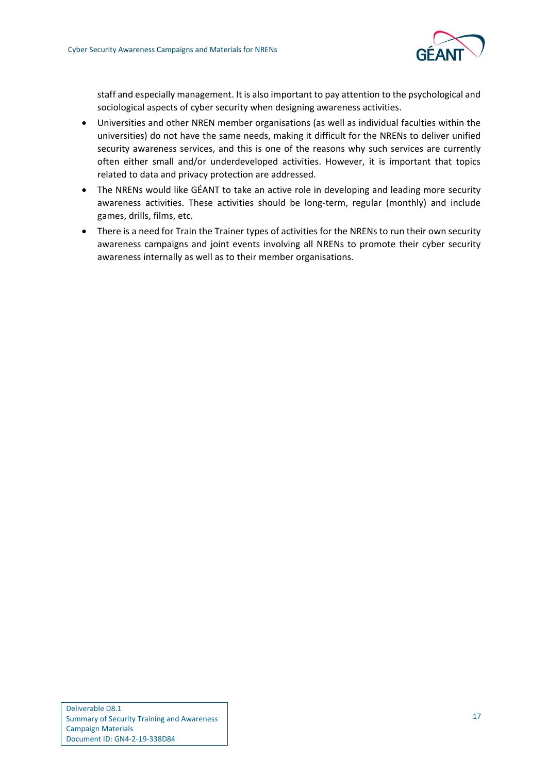

staff and especially management. It is also important to pay attention to the psychological and sociological aspects of cyber security when designing awareness activities.

- Universities and other NREN member organisations (as well as individual faculties within the universities) do not have the same needs, making it difficult for the NRENs to deliver unified security awareness services, and this is one of the reasons why such services are currently often either small and/or underdeveloped activities. However, it is important that topics related to data and privacy protection are addressed.
- The NRENs would like GÉANT to take an active role in developing and leading more security awareness activities. These activities should be long-term, regular (monthly) and include games, drills, films, etc.
- There is a need for Train the Trainer types of activities for the NRENs to run their own security awareness campaigns and joint events involving all NRENs to promote their cyber security awareness internally as well as to their member organisations.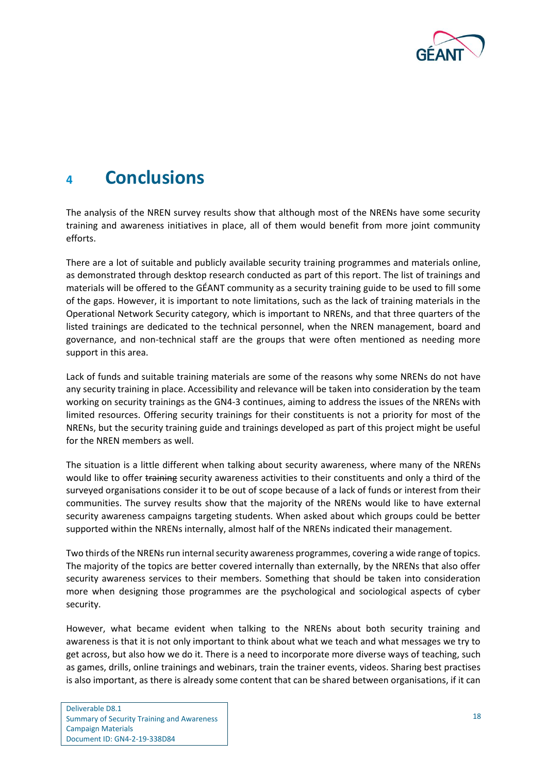

## <span id="page-20-0"></span>**<sup>4</sup> Conclusions**

The analysis of the NREN survey results show that although most of the NRENs have some security training and awareness initiatives in place, all of them would benefit from more joint community efforts.

There are a lot of suitable and publicly available security training programmes and materials online, as demonstrated through desktop research conducted as part of this report. The list of trainings and materials will be offered to the GÉANT community as a security training guide to be used to fill some of the gaps. However, it is important to note limitations, such as the lack of training materials in the Operational Network Security category, which is important to NRENs, and that three quarters of the listed trainings are dedicated to the technical personnel, when the NREN management, board and governance, and non-technical staff are the groups that were often mentioned as needing more support in this area.

Lack of funds and suitable training materials are some of the reasons why some NRENs do not have any security training in place. Accessibility and relevance will be taken into consideration by the team working on security trainings as the GN4-3 continues, aiming to address the issues of the NRENs with limited resources. Offering security trainings for their constituents is not a priority for most of the NRENs, but the security training guide and trainings developed as part of this project might be useful for the NREN members as well.

The situation is a little different when talking about security awareness, where many of the NRENs would like to offer training security awareness activities to their constituents and only a third of the surveyed organisations consider it to be out of scope because of a lack of funds or interest from their communities. The survey results show that the majority of the NRENs would like to have external security awareness campaigns targeting students. When asked about which groups could be better supported within the NRENs internally, almost half of the NRENs indicated their management.

Two thirds of the NRENs run internal security awareness programmes, covering a wide range of topics. The majority of the topics are better covered internally than externally, by the NRENs that also offer security awareness services to their members. Something that should be taken into consideration more when designing those programmes are the psychological and sociological aspects of cyber security.

However, what became evident when talking to the NRENs about both security training and awareness is that it is not only important to think about what we teach and what messages we try to get across, but also how we do it. There is a need to incorporate more diverse ways of teaching, such as games, drills, online trainings and webinars, train the trainer events, videos. Sharing best practises is also important, as there is already some content that can be shared between organisations, if it can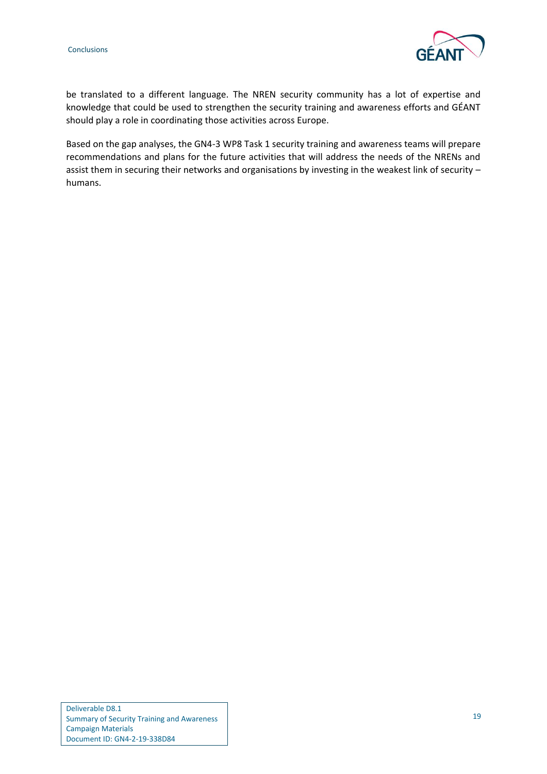

be translated to a different language. The NREN security community has a lot of expertise and knowledge that could be used to strengthen the security training and awareness efforts and GÉANT should play a role in coordinating those activities across Europe.

Based on the gap analyses, the GN4-3 WP8 Task 1 security training and awareness teams will prepare recommendations and plans for the future activities that will address the needs of the NRENs and assist them in securing their networks and organisations by investing in the weakest link of security – humans.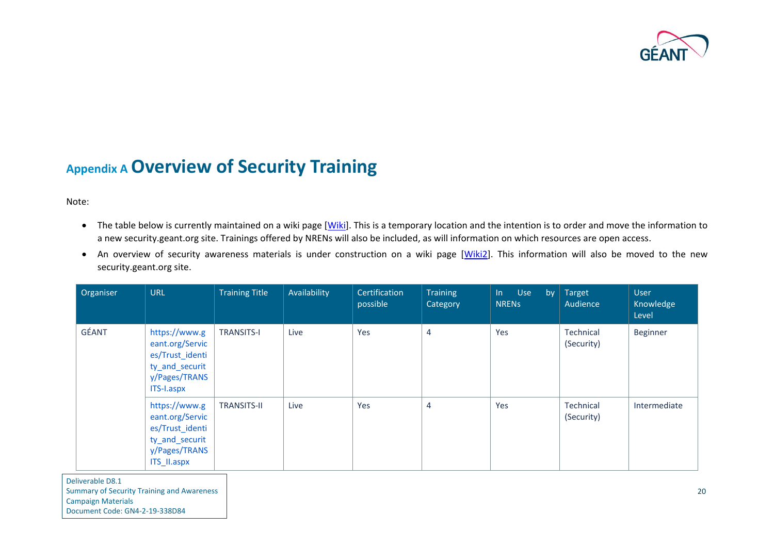

## **Appendix A Overview of Security Training**

Note:

- The table below is currently maintained on a wiki page [\[Wiki\]](#page-45-4). This is a temporary location and the intention is to order and move the information to a new security.geant.org site. Trainings offered by NRENs will also be included, as will information on which resources are open access.
- An overview of security awareness materials is under construction on a wiki page [\[Wiki2\]](#page-45-5). This information will also be moved to the new security.geant.org site.

<span id="page-22-0"></span>

| Organiser | <b>URL</b>                                                                                            | <b>Training Title</b> | Availability | Certification<br>possible | <b>Training</b><br>Category | Use<br>$\ln$<br>by<br><b>NRENS</b> | Target<br>Audience      | <b>User</b><br>Knowledge<br>Level |
|-----------|-------------------------------------------------------------------------------------------------------|-----------------------|--------------|---------------------------|-----------------------------|------------------------------------|-------------------------|-----------------------------------|
| GÉANT     | https://www.g<br>eant.org/Servic<br>es/Trust_identi<br>ty_and_securit<br>y/Pages/TRANS<br>ITS-I.aspx  | <b>TRANSITS-I</b>     | Live         | Yes                       | 4                           | Yes                                | Technical<br>(Security) | Beginner                          |
|           | https://www.g<br>eant.org/Servic<br>es/Trust_identi<br>ty_and_securit<br>y/Pages/TRANS<br>ITS_II.aspx | <b>TRANSITS-II</b>    | Live         | Yes                       | 4                           | Yes                                | Technical<br>(Security) | Intermediate                      |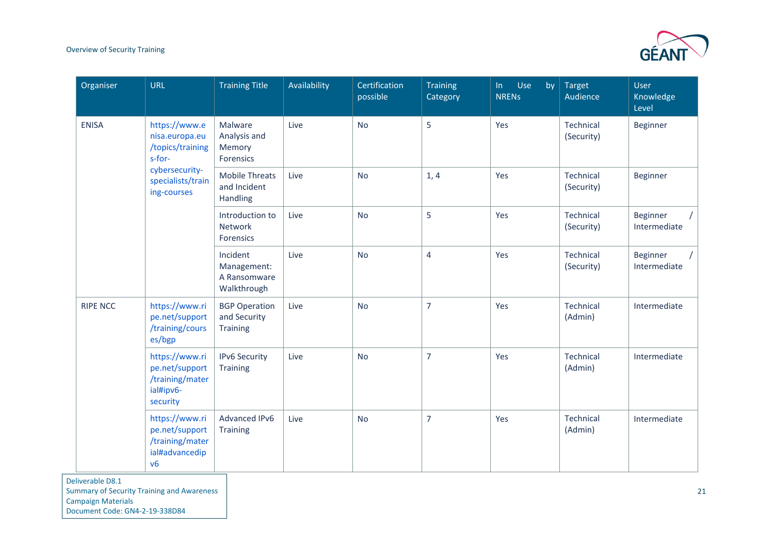

| Organiser       | <b>URL</b>                                                                   | <b>Training Title</b>                                   | Availability | Certification<br>possible | <b>Training</b><br>Category | Use<br>$\ln$<br>by<br><b>NRENS</b> | <b>Target</b><br>Audience | <b>User</b><br>Knowledge<br>Level |
|-----------------|------------------------------------------------------------------------------|---------------------------------------------------------|--------------|---------------------------|-----------------------------|------------------------------------|---------------------------|-----------------------------------|
| <b>ENISA</b>    | https://www.e<br>nisa.europa.eu<br>/topics/training<br>s-for-                | Malware<br>Analysis and<br>Memory<br>Forensics          | Live         | <b>No</b>                 | 5                           | Yes                                | Technical<br>(Security)   | <b>Beginner</b>                   |
|                 | cybersecurity-<br>specialists/train<br>ing-courses                           | <b>Mobile Threats</b><br>and Incident<br>Handling       | Live         | <b>No</b>                 | 1, 4                        | Yes                                | Technical<br>(Security)   | <b>Beginner</b>                   |
|                 |                                                                              | Introduction to<br>Network<br><b>Forensics</b>          | Live         | <b>No</b>                 | 5                           | Yes                                | Technical<br>(Security)   | <b>Beginner</b><br>Intermediate   |
|                 |                                                                              | Incident<br>Management:<br>A Ransomware<br>Walkthrough  | Live         | <b>No</b>                 | $\overline{4}$              | Yes                                | Technical<br>(Security)   | Beginner<br>Intermediate          |
| <b>RIPE NCC</b> | https://www.ri<br>pe.net/support<br>/training/cours<br>es/bgp                | <b>BGP Operation</b><br>and Security<br><b>Training</b> | Live         | <b>No</b>                 | $\overline{7}$              | Yes                                | Technical<br>(Admin)      | Intermediate                      |
|                 | https://www.ri<br>pe.net/support<br>/training/mater<br>ial#ipv6-<br>security | <b>IPv6 Security</b><br><b>Training</b>                 | Live         | <b>No</b>                 | $\overline{7}$              | Yes                                | Technical<br>(Admin)      | Intermediate                      |
|                 | https://www.ri<br>pe.net/support<br>/training/mater<br>ial#advancedip<br>v6  | Advanced IPv6<br><b>Training</b>                        | Live         | <b>No</b>                 | $\overline{7}$              | Yes                                | Technical<br>(Admin)      | Intermediate                      |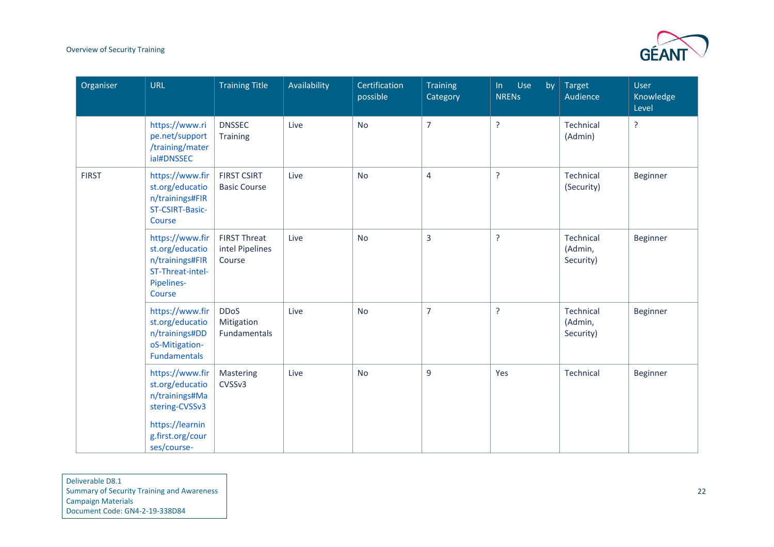

| Organiser    | <b>URL</b>                                                                                                                   | <b>Training Title</b>                            | Availability | Certification<br>possible | <b>Training</b><br>Category | Use<br>by<br>$\ln$<br><b>NRENS</b> | <b>Target</b><br>Audience         | User<br>Knowledge<br>Level |
|--------------|------------------------------------------------------------------------------------------------------------------------------|--------------------------------------------------|--------------|---------------------------|-----------------------------|------------------------------------|-----------------------------------|----------------------------|
|              | https://www.ri<br>pe.net/support<br>/training/mater<br>ial#DNSSEC                                                            | <b>DNSSEC</b><br>Training                        | Live         | <b>No</b>                 | $\overline{7}$              | <sup>?</sup>                       | Technical<br>(Admin)              | $\overline{?}$             |
| <b>FIRST</b> | https://www.fir<br>st.org/educatio<br>n/trainings#FIR<br>ST-CSIRT-Basic-<br>Course                                           | <b>FIRST CSIRT</b><br><b>Basic Course</b>        | Live         | <b>No</b>                 | $\overline{4}$              | <sup>?</sup>                       | Technical<br>(Security)           | Beginner                   |
|              | https://www.fir<br>st.org/educatio<br>n/trainings#FIR<br>ST-Threat-intel-<br>Pipelines-<br>Course                            | <b>FIRST Threat</b><br>intel Pipelines<br>Course | Live         | <b>No</b>                 | 3                           | <sup>?</sup>                       | Technical<br>(Admin,<br>Security) | Beginner                   |
|              | https://www.fir<br>st.org/educatio<br>n/trainings#DD<br>oS-Mitigation-<br><b>Fundamentals</b>                                | <b>DDoS</b><br>Mitigation<br>Fundamentals        | Live         | <b>No</b>                 | $\overline{7}$              | ?                                  | Technical<br>(Admin,<br>Security) | Beginner                   |
|              | https://www.fir<br>st.org/educatio<br>n/trainings#Ma<br>stering-CVSSv3<br>https://learnin<br>g.first.org/cour<br>ses/course- | Mastering<br>CVSSv3                              | Live         | <b>No</b>                 | 9                           | Yes                                | Technical                         | Beginner                   |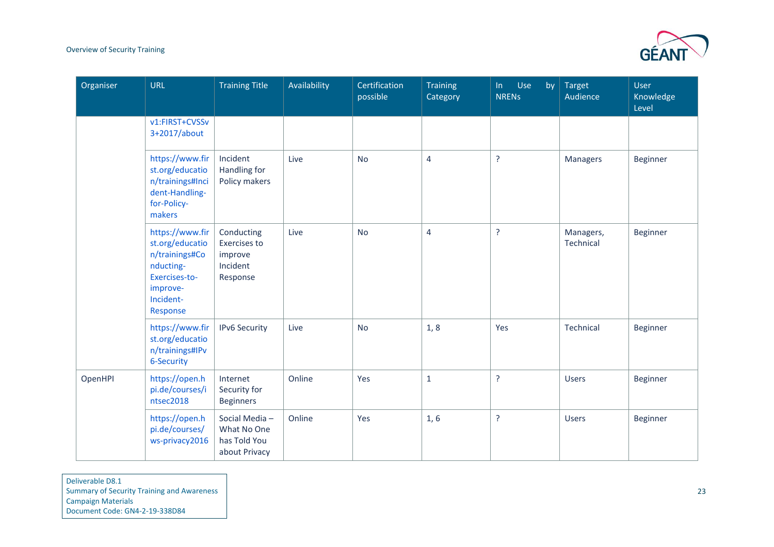

| Organiser | <b>URL</b>                                                                                                              | <b>Training Title</b>                                         | Availability | Certification<br>possible | <b>Training</b><br>Category | Use<br>ln<br>by<br><b>NRENS</b> | <b>Target</b><br>Audience | <b>User</b><br>Knowledge<br>Level |
|-----------|-------------------------------------------------------------------------------------------------------------------------|---------------------------------------------------------------|--------------|---------------------------|-----------------------------|---------------------------------|---------------------------|-----------------------------------|
|           | v1:FIRST+CVSSv<br>3+2017/about                                                                                          |                                                               |              |                           |                             |                                 |                           |                                   |
|           | https://www.fir<br>st.org/educatio<br>n/trainings#Inci<br>dent-Handling-<br>for-Policy-<br>makers                       | Incident<br>Handling for<br>Policy makers                     | Live         | <b>No</b>                 | $\overline{4}$              | $\tilde{?}$                     | <b>Managers</b>           | <b>Beginner</b>                   |
|           | https://www.fir<br>st.org/educatio<br>n/trainings#Co<br>nducting-<br>Exercises-to-<br>improve-<br>Incident-<br>Response | Conducting<br>Exercises to<br>improve<br>Incident<br>Response | Live         | <b>No</b>                 | $\overline{4}$              | <sup>2</sup>                    | Managers,<br>Technical    | Beginner                          |
|           | https://www.fir<br>st.org/educatio<br>n/trainings#IPv<br>6-Security                                                     | <b>IPv6 Security</b>                                          | Live         | <b>No</b>                 | 1, 8                        | Yes                             | Technical                 | <b>Beginner</b>                   |
| OpenHPI   | https://open.h<br>pi.de/courses/i<br>ntsec2018                                                                          | Internet<br>Security for<br><b>Beginners</b>                  | Online       | Yes                       | $\mathbf{1}$                | $\overline{?}$                  | <b>Users</b>              | Beginner                          |
|           | https://open.h<br>pi.de/courses/<br>ws-privacy2016                                                                      | Social Media-<br>What No One<br>has Told You<br>about Privacy | Online       | Yes                       | 1, 6                        | $\tilde{?}$                     | <b>Users</b>              | Beginner                          |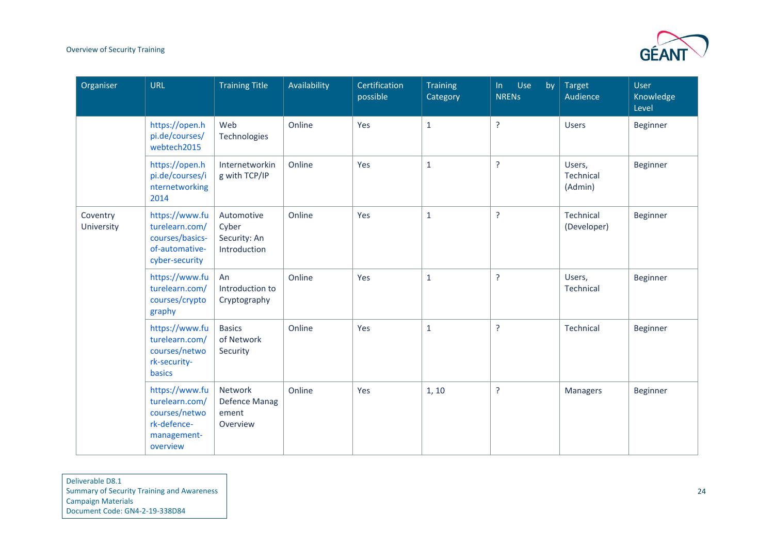

| Organiser              | <b>URL</b>                                                                                  | <b>Training Title</b>                                | Availability | Certification<br>possible | <b>Training</b><br>Category | Use<br>In<br>by<br><b>NRENS</b> | Target<br>Audience             | User<br>Knowledge<br>Level |
|------------------------|---------------------------------------------------------------------------------------------|------------------------------------------------------|--------------|---------------------------|-----------------------------|---------------------------------|--------------------------------|----------------------------|
|                        | https://open.h<br>pi.de/courses/<br>webtech2015                                             | Web<br>Technologies                                  | Online       | Yes                       | $\mathbf{1}$                | ?                               | <b>Users</b>                   | Beginner                   |
|                        | https://open.h<br>pi.de/courses/i<br>nternetworking<br>2014                                 | Internetworkin<br>g with TCP/IP                      | Online       | Yes                       | $\mathbf{1}$                | $\overline{?}$                  | Users,<br>Technical<br>(Admin) | Beginner                   |
| Coventry<br>University | https://www.fu<br>turelearn.com/<br>courses/basics-<br>of-automative-<br>cyber-security     | Automotive<br>Cyber<br>Security: An<br>Introduction  | Online       | Yes                       | $\mathbf{1}$                | $\overline{?}$                  | Technical<br>(Developer)       | Beginner                   |
|                        | https://www.fu<br>turelearn.com/<br>courses/crypto<br>graphy                                | An<br>Introduction to<br>Cryptography                | Online       | Yes                       | $1\,$                       | ?                               | Users,<br>Technical            | Beginner                   |
|                        | https://www.fu<br>turelearn.com/<br>courses/netwo<br>rk-security-<br><b>basics</b>          | <b>Basics</b><br>of Network<br>Security              | Online       | Yes                       | $\mathbf{1}$                | $\overline{?}$                  | Technical                      | Beginner                   |
|                        | https://www.fu<br>turelearn.com/<br>courses/netwo<br>rk-defence-<br>management-<br>overview | Network<br><b>Defence Manag</b><br>ement<br>Overview | Online       | Yes                       | 1, 10                       | ?                               | <b>Managers</b>                | Beginner                   |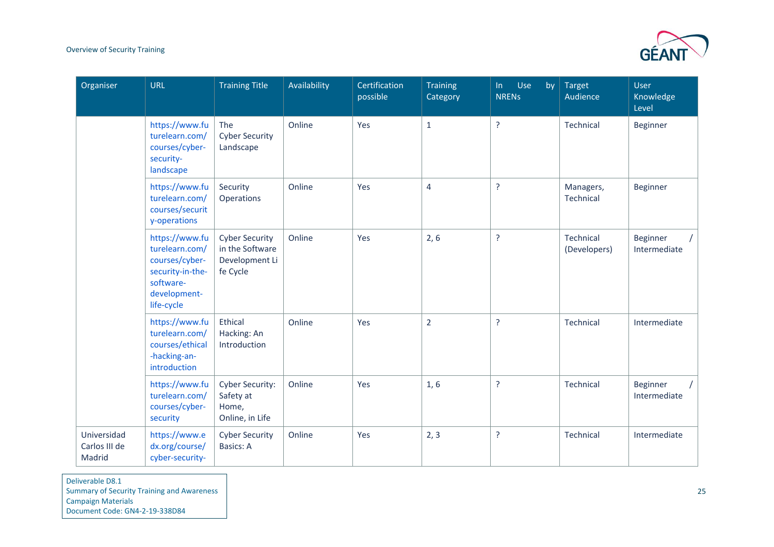

| Organiser                              | <b>URL</b>                                                                                                        | <b>Training Title</b>                                                  | Availability | Certification<br>possible | <b>Training</b><br>Category | Use<br>$\ln$<br>by<br><b>NRENS</b> | <b>Target</b><br>Audience | <b>User</b><br>Knowledge<br>Level |
|----------------------------------------|-------------------------------------------------------------------------------------------------------------------|------------------------------------------------------------------------|--------------|---------------------------|-----------------------------|------------------------------------|---------------------------|-----------------------------------|
|                                        | https://www.fu<br>turelearn.com/<br>courses/cyber-<br>security-<br>landscape                                      | The<br><b>Cyber Security</b><br>Landscape                              | Online       | Yes                       | $\mathbf{1}$                | $\overline{?}$                     | Technical                 | Beginner                          |
|                                        | https://www.fu<br>turelearn.com/<br>courses/securit<br>y-operations                                               | Security<br>Operations                                                 | Online       | Yes                       | 4                           | $\overline{?}$                     | Managers,<br>Technical    | Beginner                          |
|                                        | https://www.fu<br>turelearn.com/<br>courses/cyber-<br>security-in-the-<br>software-<br>development-<br>life-cycle | <b>Cyber Security</b><br>in the Software<br>Development Li<br>fe Cycle | Online       | Yes                       | 2, 6                        | $\overline{?}$                     | Technical<br>(Developers) | Beginner<br>Intermediate          |
|                                        | https://www.fu<br>turelearn.com/<br>courses/ethical<br>-hacking-an-<br>introduction                               | Ethical<br>Hacking: An<br>Introduction                                 | Online       | Yes                       | $\overline{2}$              | $\overline{?}$                     | Technical                 | Intermediate                      |
|                                        | https://www.fu<br>turelearn.com/<br>courses/cyber-<br>security                                                    | <b>Cyber Security:</b><br>Safety at<br>Home,<br>Online, in Life        | Online       | Yes                       | 1, 6                        | $\overline{?}$                     | Technical                 | Beginner<br>Intermediate          |
| Universidad<br>Carlos III de<br>Madrid | https://www.e<br>dx.org/course/<br>cyber-security-                                                                | <b>Cyber Security</b><br><b>Basics: A</b>                              | Online       | Yes                       | 2, 3                        | $\overline{?}$                     | Technical                 | Intermediate                      |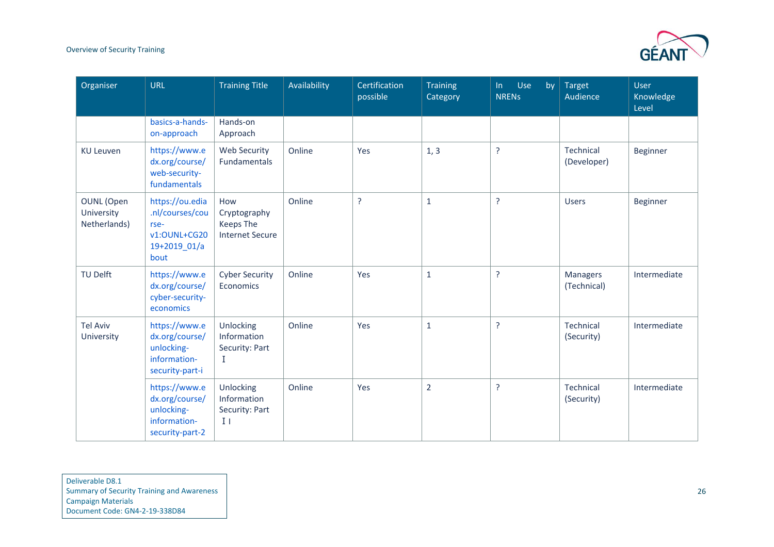

| Organiser                                       | <b>URL</b>                                                                         | <b>Training Title</b>                                             | Availability | Certification<br>possible | <b>Training</b><br>Category | Use<br>by<br>$\ln$<br><b>NRENS</b> | <b>Target</b><br>Audience | User<br>Knowledge<br>Level |
|-------------------------------------------------|------------------------------------------------------------------------------------|-------------------------------------------------------------------|--------------|---------------------------|-----------------------------|------------------------------------|---------------------------|----------------------------|
|                                                 | basics-a-hands-<br>on-approach                                                     | Hands-on<br>Approach                                              |              |                           |                             |                                    |                           |                            |
| <b>KU Leuven</b>                                | https://www.e<br>dx.org/course/<br>web-security-<br>fundamentals                   | <b>Web Security</b><br>Fundamentals                               | Online       | Yes                       | 1, 3                        | ?                                  | Technical<br>(Developer)  | Beginner                   |
| <b>OUNL</b> (Open<br>University<br>Netherlands) | https://ou.edia<br>.nl/courses/cou<br>rse-<br>v1:OUNL+CG20<br>19+2019_01/a<br>bout | How<br>Cryptography<br><b>Keeps The</b><br><b>Internet Secure</b> | Online       | $\overline{?}$            | $\mathbf{1}$                | <sup>2</sup>                       | <b>Users</b>              | Beginner                   |
| <b>TU Delft</b>                                 | https://www.e<br>dx.org/course/<br>cyber-security-<br>economics                    | <b>Cyber Security</b><br>Economics                                | Online       | Yes                       | $\mathbf{1}$                | ?                                  | Managers<br>(Technical)   | Intermediate               |
| <b>Tel Aviv</b><br>University                   | https://www.e<br>dx.org/course/<br>unlocking-<br>information-<br>security-part-i   | Unlocking<br>Information<br>Security: Part<br>$\bf I$             | Online       | Yes                       | $\mathbf{1}$                | ?                                  | Technical<br>(Security)   | Intermediate               |
|                                                 | https://www.e<br>dx.org/course/<br>unlocking-<br>information-<br>security-part-2   | Unlocking<br>Information<br>Security: Part<br>$\mathbf{I}$        | Online       | Yes                       | $\overline{2}$              | $\overline{?}$                     | Technical<br>(Security)   | Intermediate               |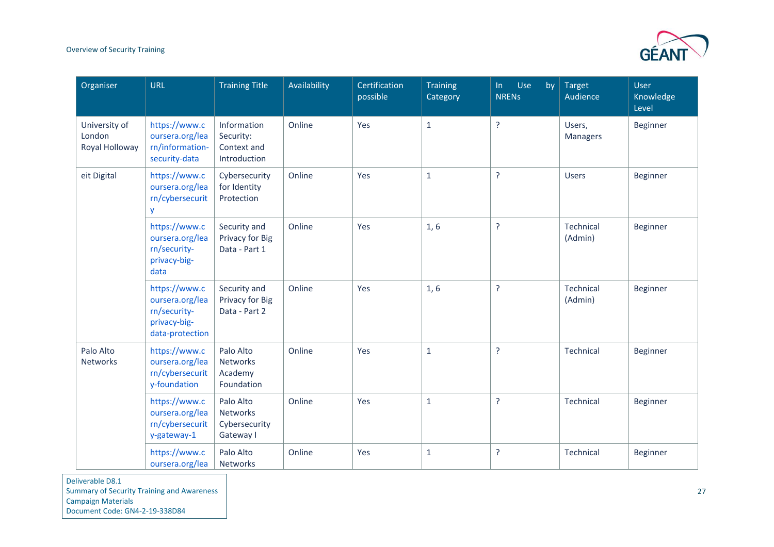

| Organiser                                 | <b>URL</b>                                                                          | <b>Training Title</b>                                   | Availability | Certification<br>possible | <b>Training</b><br>Category | Use<br>In<br>by<br><b>NRENS</b> | <b>Target</b><br>Audience | <b>User</b><br>Knowledge<br>Level |
|-------------------------------------------|-------------------------------------------------------------------------------------|---------------------------------------------------------|--------------|---------------------------|-----------------------------|---------------------------------|---------------------------|-----------------------------------|
| University of<br>London<br>Royal Holloway | https://www.c<br>oursera.org/lea<br>rn/information-<br>security-data                | Information<br>Security:<br>Context and<br>Introduction | Online       | Yes                       | $\mathbf{1}$                | $\overline{?}$                  | Users,<br>Managers        | Beginner                          |
| eit Digital                               | https://www.c<br>oursera.org/lea<br>rn/cybersecurit<br>y                            | Cybersecurity<br>for Identity<br>Protection             | Online       | Yes                       | $\mathbf{1}$                | $\overline{?}$                  | <b>Users</b>              | <b>Beginner</b>                   |
|                                           | https://www.c<br>oursera.org/lea<br>rn/security-<br>privacy-big-<br>data            | Security and<br>Privacy for Big<br>Data - Part 1        | Online       | Yes                       | 1, 6                        | $\overline{?}$                  | Technical<br>(Admin)      | Beginner                          |
|                                           | https://www.c<br>oursera.org/lea<br>rn/security-<br>privacy-big-<br>data-protection | Security and<br>Privacy for Big<br>Data - Part 2        | Online       | Yes                       | 1, 6                        | $\overline{?}$                  | Technical<br>(Admin)      | Beginner                          |
| Palo Alto<br>Networks                     | https://www.c<br>oursera.org/lea<br>rn/cybersecurit<br>y-foundation                 | Palo Alto<br>Networks<br>Academy<br>Foundation          | Online       | Yes                       | $\mathbf{1}$                | $\overline{?}$                  | Technical                 | <b>Beginner</b>                   |
|                                           | https://www.c<br>oursera.org/lea<br>rn/cybersecurit<br>y-gateway-1                  | Palo Alto<br>Networks<br>Cybersecurity<br>Gateway I     | Online       | Yes                       | $\mathbf{1}$                | $\overline{?}$                  | Technical                 | <b>Beginner</b>                   |
|                                           | https://www.c<br>oursera.org/lea                                                    | Palo Alto<br>Networks                                   | Online       | Yes                       | $\mathbf{1}$                | $\overline{?}$                  | Technical                 | <b>Beginner</b>                   |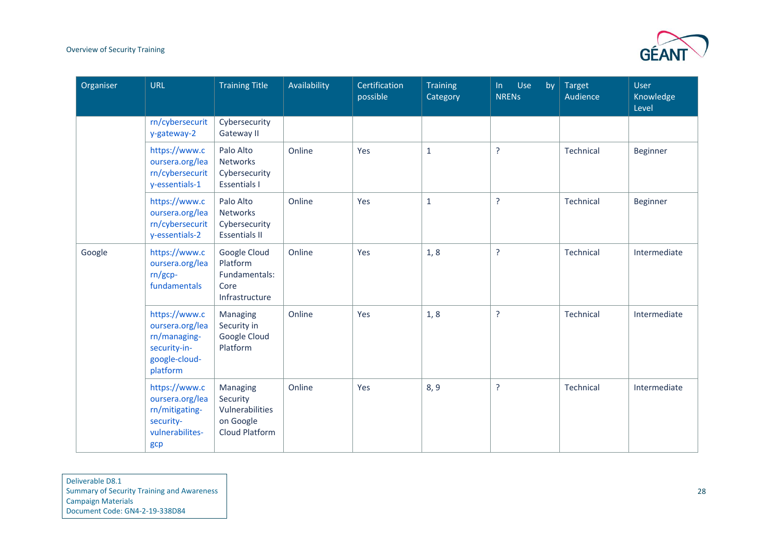

| Organiser | <b>URL</b>                                                                                    | <b>Training Title</b>                                                         | Availability | Certification<br>possible | <b>Training</b><br>Category | Use<br>by<br>ln<br><b>NRENS</b> | Target<br>Audience | <b>User</b><br>Knowledge<br>Level |
|-----------|-----------------------------------------------------------------------------------------------|-------------------------------------------------------------------------------|--------------|---------------------------|-----------------------------|---------------------------------|--------------------|-----------------------------------|
|           | rn/cybersecurit<br>y-gateway-2                                                                | Cybersecurity<br>Gateway II                                                   |              |                           |                             |                                 |                    |                                   |
|           | https://www.c<br>oursera.org/lea<br>rn/cybersecurit<br>y-essentials-1                         | Palo Alto<br><b>Networks</b><br>Cybersecurity<br><b>Essentials I</b>          | Online       | Yes                       | $\mathbf 1$                 | $\overline{?}$                  | Technical          | Beginner                          |
|           | https://www.c<br>oursera.org/lea<br>rn/cybersecurit<br>y-essentials-2                         | Palo Alto<br><b>Networks</b><br>Cybersecurity<br><b>Essentials II</b>         | Online       | Yes                       | $\mathbf 1$                 | $\overline{?}$                  | Technical          | Beginner                          |
| Google    | https://www.c<br>oursera.org/lea<br>$rn/gcp-$<br>fundamentals                                 | Google Cloud<br>Platform<br>Fundamentals:<br>Core<br>Infrastructure           | Online       | Yes                       | 1, 8                        | $\overline{?}$                  | Technical          | Intermediate                      |
|           | https://www.c<br>oursera.org/lea<br>rn/managing-<br>security-in-<br>google-cloud-<br>platform | Managing<br>Security in<br>Google Cloud<br>Platform                           | Online       | Yes                       | 1, 8                        | $\overline{?}$                  | Technical          | Intermediate                      |
|           | https://www.c<br>oursera.org/lea<br>rn/mitigating-<br>security-<br>vulnerabilites-<br>gcp     | Managing<br>Security<br>Vulnerabilities<br>on Google<br><b>Cloud Platform</b> | Online       | Yes                       | 8, 9                        | $\overline{?}$                  | Technical          | Intermediate                      |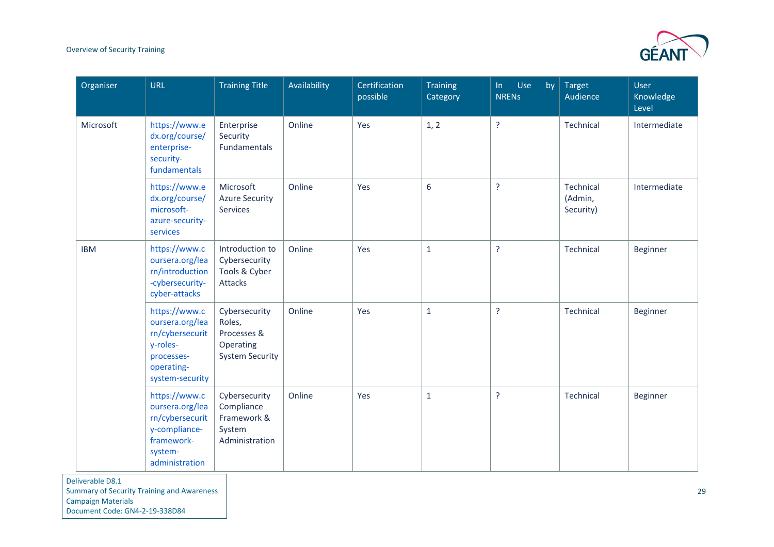

| <b>URL</b>                                                                                                      | <b>Training Title</b>                                                         | Availability | Certification<br>possible | <b>Training</b><br>Category | Use<br>In<br>by<br><b>NRENS</b> | Target<br>Audience                | User<br>Knowledge<br>Level |
|-----------------------------------------------------------------------------------------------------------------|-------------------------------------------------------------------------------|--------------|---------------------------|-----------------------------|---------------------------------|-----------------------------------|----------------------------|
| https://www.e<br>dx.org/course/<br>enterprise-<br>security-<br>fundamentals                                     | Enterprise<br>Security<br>Fundamentals                                        | Online       | Yes                       | 1, 2                        | ŗ                               | Technical                         | Intermediate               |
| https://www.e<br>dx.org/course/<br>microsoft-<br>azure-security-<br>services                                    | Microsoft<br><b>Azure Security</b><br>Services                                | Online       | Yes                       | 6                           | <sub>5</sub>                    | Technical<br>(Admin,<br>Security) | Intermediate               |
| https://www.c<br>oursera.org/lea<br>rn/introduction<br>-cybersecurity-<br>cyber-attacks                         | Introduction to<br>Cybersecurity<br>Tools & Cyber<br>Attacks                  | Online       | Yes                       | $\mathbf{1}$                | <sup>2</sup>                    | Technical                         | Beginner                   |
| https://www.c<br>oursera.org/lea<br>rn/cybersecurit<br>y-roles-<br>processes-<br>operating-<br>system-security  | Cybersecurity<br>Roles,<br>Processes &<br>Operating<br><b>System Security</b> | Online       | Yes                       | $\mathbf 1$                 | <sup>2</sup>                    | Technical                         | Beginner                   |
| https://www.c<br>oursera.org/lea<br>rn/cybersecurit<br>y-compliance-<br>framework-<br>system-<br>administration | Cybersecurity<br>Compliance<br>Framework &<br>System<br>Administration        | Online       | Yes                       | $\mathbf 1$                 | <sup>2</sup>                    | Technical                         | Beginner                   |
|                                                                                                                 |                                                                               |              |                           |                             |                                 |                                   |                            |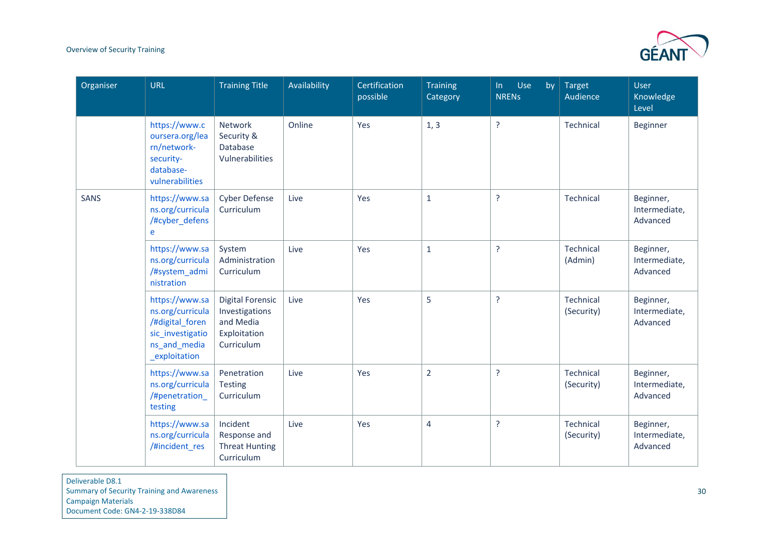

| Organiser   | <b>URL</b>                                                                                                 | <b>Training Title</b>                                                                | Availability | Certification<br>possible | <b>Training</b><br>Category | Use<br>by<br>$\ln$<br><b>NRENS</b> | <b>Target</b><br>Audience | <b>User</b><br>Knowledge<br>Level      |
|-------------|------------------------------------------------------------------------------------------------------------|--------------------------------------------------------------------------------------|--------------|---------------------------|-----------------------------|------------------------------------|---------------------------|----------------------------------------|
|             | https://www.c<br>oursera.org/lea<br>rn/network-<br>security-<br>database-<br>vulnerabilities               | Network<br>Security &<br>Database<br>Vulnerabilities                                 | Online       | Yes                       | 1, 3                        | $\overline{?}$                     | Technical                 | <b>Beginner</b>                        |
| <b>SANS</b> | https://www.sa<br>ns.org/curricula<br>/#cyber_defens<br>e                                                  | <b>Cyber Defense</b><br>Curriculum                                                   | Live         | Yes                       | $\mathbf{1}$                | $\overline{?}$                     | Technical                 | Beginner,<br>Intermediate,<br>Advanced |
|             | https://www.sa<br>ns.org/curricula<br>/#system_admi<br>nistration                                          | System<br>Administration<br>Curriculum                                               | Live         | Yes                       | $\mathbf{1}$                | $\overline{?}$                     | Technical<br>(Admin)      | Beginner,<br>Intermediate,<br>Advanced |
|             | https://www.sa<br>ns.org/curricula<br>/#digital foren<br>sic_investigatio<br>ns_and_media<br>_exploitation | <b>Digital Forensic</b><br>Investigations<br>and Media<br>Exploitation<br>Curriculum | Live         | Yes                       | 5                           | $\overline{?}$                     | Technical<br>(Security)   | Beginner,<br>Intermediate,<br>Advanced |
|             | https://www.sa<br>ns.org/curricula<br>/#penetration_<br>testing                                            | Penetration<br><b>Testing</b><br>Curriculum                                          | Live         | Yes                       | $\overline{2}$              | $\overline{?}$                     | Technical<br>(Security)   | Beginner,<br>Intermediate,<br>Advanced |
|             | https://www.sa<br>ns.org/curricula<br>/#incident_res                                                       | Incident<br>Response and<br><b>Threat Hunting</b><br>Curriculum                      | Live         | Yes                       | $\overline{4}$              | $\overline{?}$                     | Technical<br>(Security)   | Beginner,<br>Intermediate,<br>Advanced |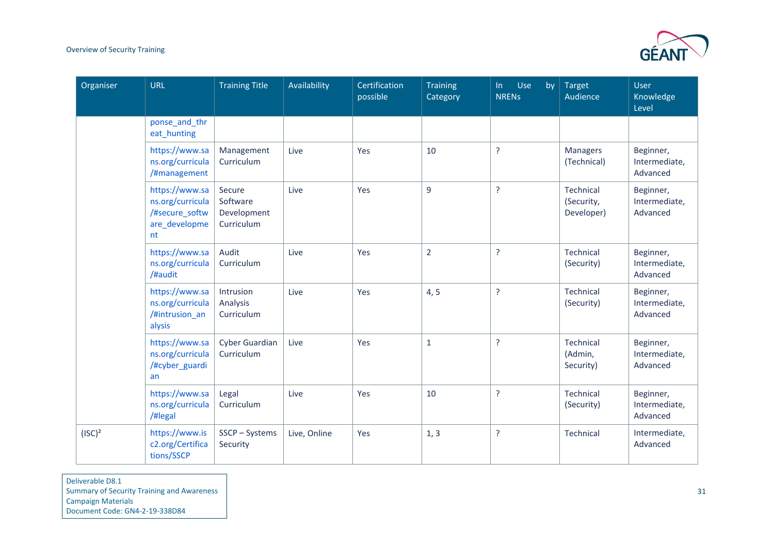

| Organiser | <b>URL</b>                                                                  | <b>Training Title</b>                           | Availability | Certification<br>possible | <b>Training</b><br>Category | Use<br>ln<br>by<br><b>NRENS</b> | <b>Target</b><br>Audience                    | <b>User</b><br>Knowledge<br>Level      |
|-----------|-----------------------------------------------------------------------------|-------------------------------------------------|--------------|---------------------------|-----------------------------|---------------------------------|----------------------------------------------|----------------------------------------|
|           | ponse_and_thr<br>eat_hunting                                                |                                                 |              |                           |                             |                                 |                                              |                                        |
|           | https://www.sa<br>ns.org/curricula<br>/#management                          | Management<br>Curriculum                        | Live         | Yes                       | 10                          | $\overline{?}$                  | <b>Managers</b><br>(Technical)               | Beginner,<br>Intermediate,<br>Advanced |
|           | https://www.sa<br>ns.org/curricula<br>/#secure_softw<br>are_developme<br>nt | Secure<br>Software<br>Development<br>Curriculum | Live         | Yes                       | 9                           | ?                               | <b>Technical</b><br>(Security,<br>Developer) | Beginner,<br>Intermediate,<br>Advanced |
|           | https://www.sa<br>ns.org/curricula<br>/#audit                               | Audit<br>Curriculum                             | Live         | Yes                       | $\overline{2}$              | <sup>2</sup>                    | <b>Technical</b><br>(Security)               | Beginner,<br>Intermediate,<br>Advanced |
|           | https://www.sa<br>ns.org/curricula<br>/#intrusion an<br>alysis              | Intrusion<br>Analysis<br>Curriculum             | Live         | Yes                       | 4, 5                        | <sup>?</sup>                    | <b>Technical</b><br>(Security)               | Beginner,<br>Intermediate,<br>Advanced |
|           | https://www.sa<br>ns.org/curricula<br>/#cyber_guardi<br>an                  | Cyber Guardian<br>Curriculum                    | Live         | Yes                       | $\mathbf{1}$                | $\tilde{?}$                     | Technical<br>(Admin,<br>Security)            | Beginner,<br>Intermediate,<br>Advanced |
|           | https://www.sa<br>ns.org/curricula<br>/#legal                               | Legal<br>Curriculum                             | Live         | Yes                       | 10                          | $\tilde{?}$                     | <b>Technical</b><br>(Security)               | Beginner,<br>Intermediate,<br>Advanced |
| $(ISC)^2$ | https://www.is<br>c2.org/Certifica<br>tions/SSCP                            | SSCP-Systems<br>Security                        | Live, Online | Yes                       | 1, 3                        | <sup>2</sup>                    | Technical                                    | Intermediate,<br>Advanced              |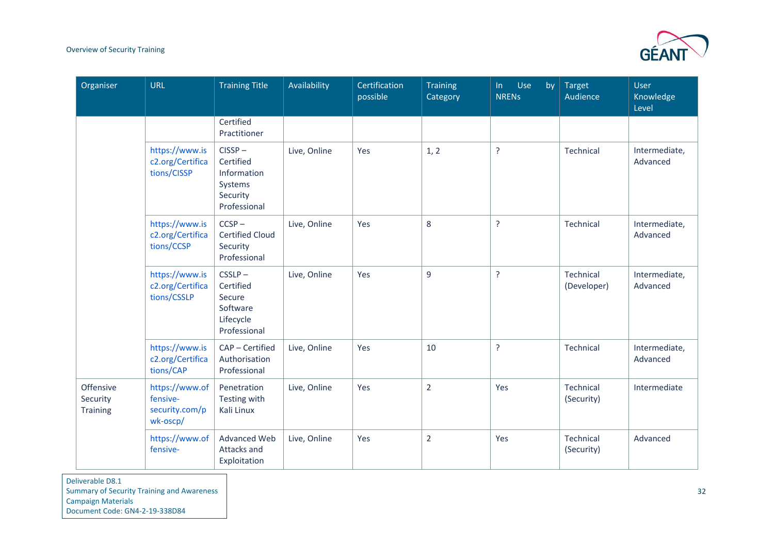

| Organiser                                | <b>URL</b>                                               | <b>Training Title</b>                                                        | Availability | Certification<br>possible | <b>Training</b><br>Category | Use<br>$\ln$<br>by<br><b>NRENS</b> | <b>Target</b><br>Audience | <b>User</b><br>Knowledge<br>Level |
|------------------------------------------|----------------------------------------------------------|------------------------------------------------------------------------------|--------------|---------------------------|-----------------------------|------------------------------------|---------------------------|-----------------------------------|
|                                          |                                                          | Certified<br>Practitioner                                                    |              |                           |                             |                                    |                           |                                   |
|                                          | https://www.is<br>c2.org/Certifica<br>tions/CISSP        | $CISSP -$<br>Certified<br>Information<br>Systems<br>Security<br>Professional | Live, Online | Yes                       | 1, 2                        | $\overline{?}$                     | Technical                 | Intermediate,<br>Advanced         |
|                                          | https://www.is<br>c2.org/Certifica<br>tions/CCSP         | $CCSP -$<br><b>Certified Cloud</b><br>Security<br>Professional               | Live, Online | Yes                       | 8                           | $\overline{?}$                     | Technical                 | Intermediate,<br>Advanced         |
|                                          | https://www.is<br>c2.org/Certifica<br>tions/CSSLP        | $CSSLP -$<br>Certified<br>Secure<br>Software<br>Lifecycle<br>Professional    | Live, Online | Yes                       | $\overline{9}$              | $\overline{?}$                     | Technical<br>(Developer)  | Intermediate,<br>Advanced         |
|                                          | https://www.is<br>c2.org/Certifica<br>tions/CAP          | CAP - Certified<br>Authorisation<br>Professional                             | Live, Online | Yes                       | 10                          | $\overline{?}$                     | Technical                 | Intermediate,<br>Advanced         |
| Offensive<br>Security<br><b>Training</b> | https://www.of<br>fensive-<br>security.com/p<br>wk-oscp/ | Penetration<br>Testing with<br>Kali Linux                                    | Live, Online | Yes                       | $\overline{2}$              | Yes                                | Technical<br>(Security)   | Intermediate                      |
|                                          | https://www.of<br>fensive-                               | <b>Advanced Web</b><br>Attacks and<br>Exploitation                           | Live, Online | Yes                       | $\overline{2}$              | Yes                                | Technical<br>(Security)   | Advanced                          |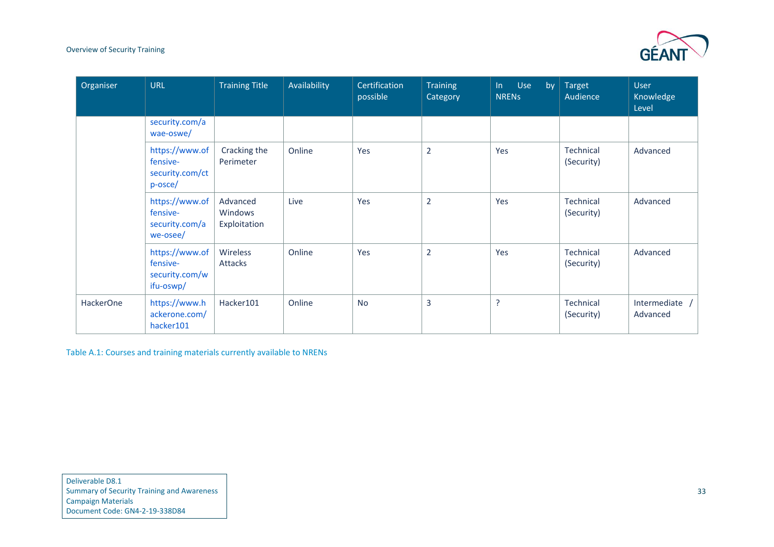

| Organiser        | <b>URL</b>                                                | <b>Training Title</b>               | Availability | Certification<br>possible | <b>Training</b><br>Category | Use<br>$\ln$<br>by<br><b>NRENS</b> | <b>Target</b><br>Audience | <b>User</b><br>Knowledge<br>Level |
|------------------|-----------------------------------------------------------|-------------------------------------|--------------|---------------------------|-----------------------------|------------------------------------|---------------------------|-----------------------------------|
|                  | security.com/a<br>wae-oswe/                               |                                     |              |                           |                             |                                    |                           |                                   |
|                  | https://www.of<br>fensive-<br>security.com/ct<br>p-osce/  | Cracking the<br>Perimeter           | Online       | Yes                       | $\overline{2}$              | Yes                                | Technical<br>(Security)   | Advanced                          |
|                  | https://www.of<br>fensive-<br>security.com/a<br>we-osee/  | Advanced<br>Windows<br>Exploitation | Live         | Yes                       | $\overline{2}$              | Yes                                | Technical<br>(Security)   | Advanced                          |
|                  | https://www.of<br>fensive-<br>security.com/w<br>ifu-oswp/ | Wireless<br>Attacks                 | Online       | Yes                       | $\overline{2}$              | Yes                                | Technical<br>(Security)   | Advanced                          |
| <b>HackerOne</b> | https://www.h<br>ackerone.com/<br>hacker101               | Hacker101                           | Online       | <b>No</b>                 | 3                           | ?                                  | Technical<br>(Security)   | Intermediate /<br>Advanced        |

<span id="page-35-0"></span>Table A.1: Courses and training materials currently available to NRENs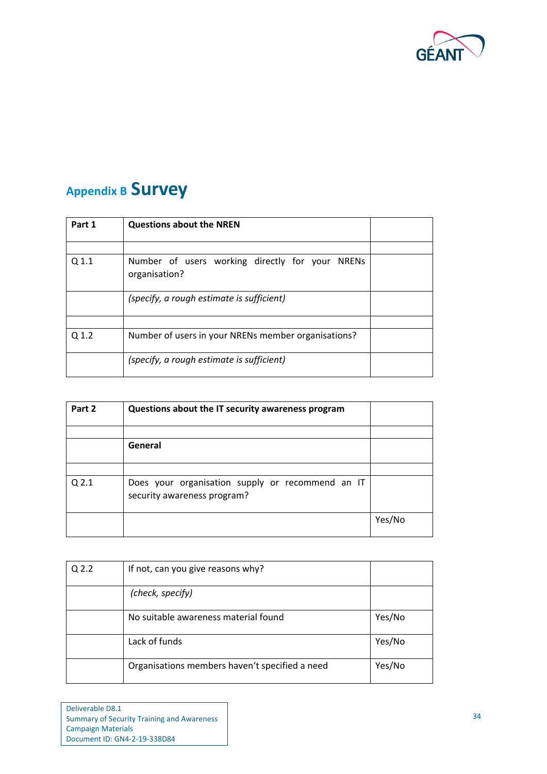

# <span id="page-36-0"></span>**Appendix B Survey**

| Part 1 | <b>Questions about the NREN</b>                                  |  |
|--------|------------------------------------------------------------------|--|
|        |                                                                  |  |
| Q 1.1  | Number of users working directly for your NRENs<br>organisation? |  |
|        | (specify, a rough estimate is sufficient)                        |  |
|        |                                                                  |  |
| Q 1.2  | Number of users in your NRENs member organisations?              |  |
|        | (specify, a rough estimate is sufficient)                        |  |

| Part 2           | Questions about the IT security awareness program                               |        |
|------------------|---------------------------------------------------------------------------------|--------|
|                  |                                                                                 |        |
|                  | General                                                                         |        |
|                  |                                                                                 |        |
| Q <sub>2.1</sub> | Does your organisation supply or recommend an IT<br>security awareness program? |        |
|                  |                                                                                 | Yes/No |

| Q <sub>2.2</sub> | If not, can you give reasons why?              |        |
|------------------|------------------------------------------------|--------|
|                  | (check, specify)                               |        |
|                  | No suitable awareness material found           | Yes/No |
|                  | Lack of funds                                  | Yes/No |
|                  | Organisations members haven't specified a need | Yes/No |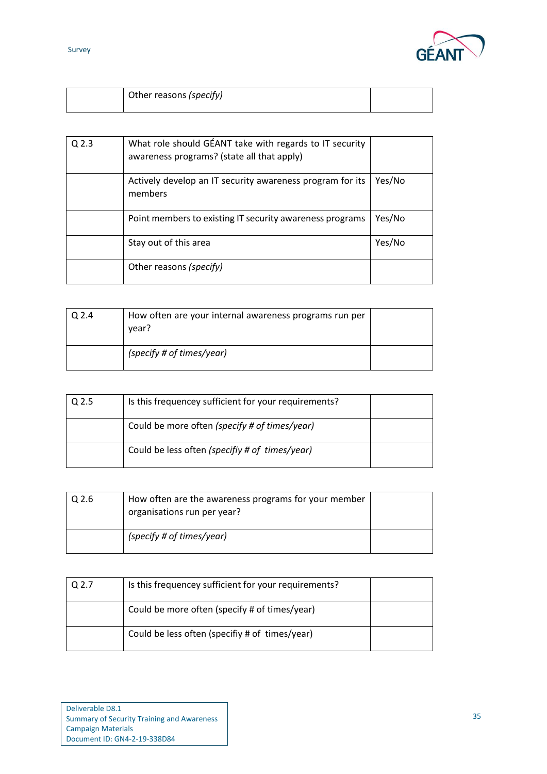



|  | Other reasons (specify) |  |
|--|-------------------------|--|
|--|-------------------------|--|

| $Q$ 2.3 | What role should GÉANT take with regards to IT security<br>awareness programs? (state all that apply) |        |
|---------|-------------------------------------------------------------------------------------------------------|--------|
|         | Actively develop an IT security awareness program for its<br>members                                  | Yes/No |
|         | Point members to existing IT security awareness programs                                              | Yes/No |
|         | Stay out of this area                                                                                 | Yes/No |
|         | Other reasons (specify)                                                                               |        |

| $Q$ 2.4 | How often are your internal awareness programs run per<br>vear? |  |
|---------|-----------------------------------------------------------------|--|
|         | (specify # of times/year)                                       |  |

| Q <sub>2.5</sub> | Is this frequencey sufficient for your requirements? |  |
|------------------|------------------------------------------------------|--|
|                  | Could be more often (specify # of times/year)        |  |
|                  | Could be less often (specifiy # of times/year)       |  |

| Q 2.6 | How often are the awareness programs for your member<br>organisations run per year? |  |
|-------|-------------------------------------------------------------------------------------|--|
|       | (specify # of times/year)                                                           |  |

| Q <sub>2.7</sub> | Is this frequencey sufficient for your requirements? |  |
|------------------|------------------------------------------------------|--|
|                  | Could be more often (specify # of times/year)        |  |
|                  | Could be less often (specifiy # of times/year)       |  |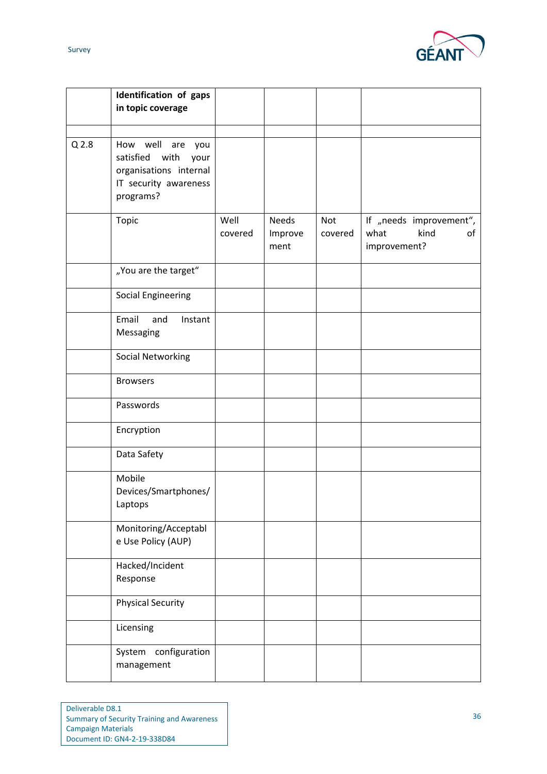

|                  | Identification of gaps<br>in topic coverage                                                                |                 |                                 |                |                                                               |
|------------------|------------------------------------------------------------------------------------------------------------|-----------------|---------------------------------|----------------|---------------------------------------------------------------|
| Q <sub>2.8</sub> | How well are you<br>satisfied with<br>your<br>organisations internal<br>IT security awareness<br>programs? |                 |                                 |                |                                                               |
|                  | Topic                                                                                                      | Well<br>covered | <b>Needs</b><br>Improve<br>ment | Not<br>covered | If "needs improvement",<br>what<br>kind<br>of<br>improvement? |
|                  | "You are the target"                                                                                       |                 |                                 |                |                                                               |
|                  | <b>Social Engineering</b>                                                                                  |                 |                                 |                |                                                               |
|                  | Email<br>and<br>Instant<br>Messaging                                                                       |                 |                                 |                |                                                               |
|                  | <b>Social Networking</b>                                                                                   |                 |                                 |                |                                                               |
|                  | <b>Browsers</b>                                                                                            |                 |                                 |                |                                                               |
|                  | Passwords                                                                                                  |                 |                                 |                |                                                               |
|                  | Encryption                                                                                                 |                 |                                 |                |                                                               |
|                  | Data Safety                                                                                                |                 |                                 |                |                                                               |
|                  | Mobile<br>Devices/Smartphones/<br>Laptops                                                                  |                 |                                 |                |                                                               |
|                  | Monitoring/Acceptabl<br>e Use Policy (AUP)                                                                 |                 |                                 |                |                                                               |
|                  | Hacked/Incident<br>Response                                                                                |                 |                                 |                |                                                               |
|                  | <b>Physical Security</b>                                                                                   |                 |                                 |                |                                                               |
|                  | Licensing                                                                                                  |                 |                                 |                |                                                               |
|                  | configuration<br>System<br>management                                                                      |                 |                                 |                |                                                               |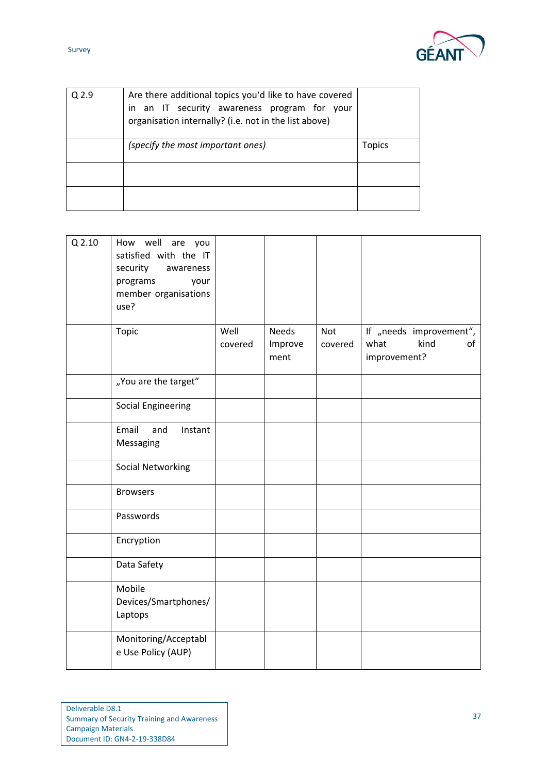

| . .<br>×<br>I<br>× |  |
|--------------------|--|
|--------------------|--|

| Q <sub>2.9</sub> | Are there additional topics you'd like to have covered<br>in an IT security awareness program for your<br>organisation internally? (i.e. not in the list above) |        |
|------------------|-----------------------------------------------------------------------------------------------------------------------------------------------------------------|--------|
|                  | (specify the most important ones)                                                                                                                               | Topics |
|                  |                                                                                                                                                                 |        |
|                  |                                                                                                                                                                 |        |

| Q 2.10 | How well are you<br>satisfied with the IT<br>security<br>awareness<br>programs<br>your<br>member organisations<br>use?<br>Topic | Well    | <b>Needs</b>    | <b>Not</b> | If "needs improvement",            |
|--------|---------------------------------------------------------------------------------------------------------------------------------|---------|-----------------|------------|------------------------------------|
|        |                                                                                                                                 | covered | Improve<br>ment | covered    | what<br>kind<br>of<br>improvement? |
|        | "You are the target"                                                                                                            |         |                 |            |                                    |
|        | <b>Social Engineering</b>                                                                                                       |         |                 |            |                                    |
|        | Email<br>and<br>Instant<br>Messaging                                                                                            |         |                 |            |                                    |
|        | <b>Social Networking</b>                                                                                                        |         |                 |            |                                    |
|        | <b>Browsers</b>                                                                                                                 |         |                 |            |                                    |
|        | Passwords                                                                                                                       |         |                 |            |                                    |
|        | Encryption                                                                                                                      |         |                 |            |                                    |
|        | Data Safety                                                                                                                     |         |                 |            |                                    |
|        | Mobile<br>Devices/Smartphones/<br>Laptops                                                                                       |         |                 |            |                                    |
|        | Monitoring/Acceptabl<br>e Use Policy (AUP)                                                                                      |         |                 |            |                                    |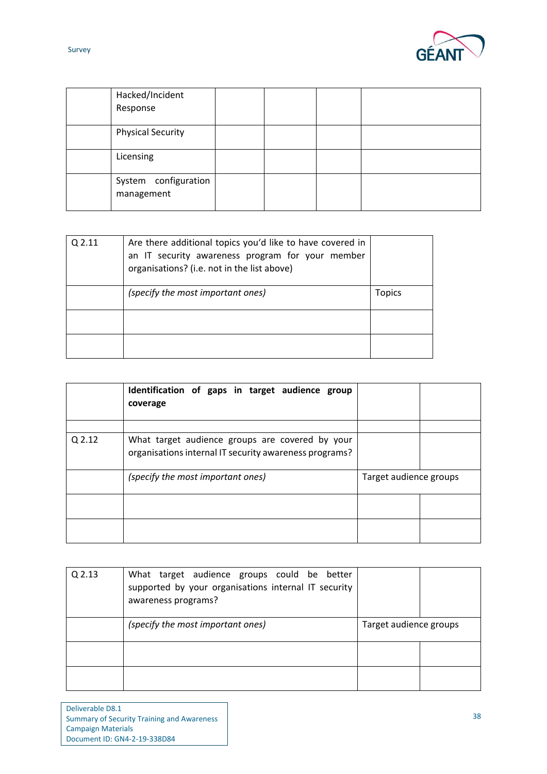

| . .<br>×<br>× |  |
|---------------|--|
|---------------|--|

| Hacked/Incident<br>Response        |  |  |
|------------------------------------|--|--|
| <b>Physical Security</b>           |  |  |
| Licensing                          |  |  |
| System configuration<br>management |  |  |

| Q 2.11 | Are there additional topics you'd like to have covered in<br>an IT security awareness program for your member<br>organisations? (i.e. not in the list above) |        |
|--------|--------------------------------------------------------------------------------------------------------------------------------------------------------------|--------|
|        | (specify the most important ones)                                                                                                                            | Topics |
|        |                                                                                                                                                              |        |
|        |                                                                                                                                                              |        |

|        | Identification of gaps in target audience group<br>coverage                                               |                        |  |
|--------|-----------------------------------------------------------------------------------------------------------|------------------------|--|
| Q 2.12 | What target audience groups are covered by your<br>organisations internal IT security awareness programs? |                        |  |
|        | (specify the most important ones)                                                                         | Target audience groups |  |
|        |                                                                                                           |                        |  |
|        |                                                                                                           |                        |  |

| $Q$ 2.13 | What target audience groups could be better<br>supported by your organisations internal IT security<br>awareness programs? |                        |  |
|----------|----------------------------------------------------------------------------------------------------------------------------|------------------------|--|
|          | (specify the most important ones)                                                                                          | Target audience groups |  |
|          |                                                                                                                            |                        |  |
|          |                                                                                                                            |                        |  |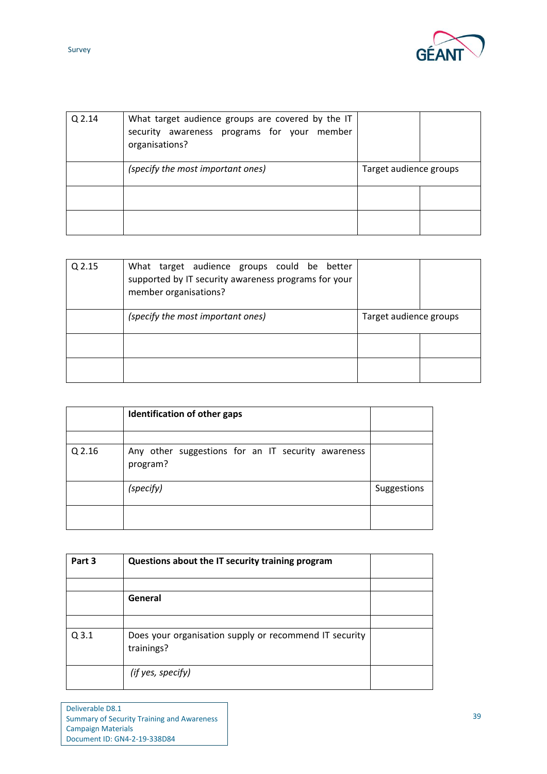

| Q 2.14 | What target audience groups are covered by the IT<br>security awareness programs for your member<br>organisations? |                        |  |
|--------|--------------------------------------------------------------------------------------------------------------------|------------------------|--|
|        | (specify the most important ones)                                                                                  | Target audience groups |  |
|        |                                                                                                                    |                        |  |
|        |                                                                                                                    |                        |  |

| Q 2.15 | What target audience groups could be better<br>supported by IT security awareness programs for your<br>member organisations? |                        |  |
|--------|------------------------------------------------------------------------------------------------------------------------------|------------------------|--|
|        | (specify the most important ones)                                                                                            | Target audience groups |  |
|        |                                                                                                                              |                        |  |
|        |                                                                                                                              |                        |  |

|        | Identification of other gaps                                   |             |
|--------|----------------------------------------------------------------|-------------|
|        |                                                                |             |
| Q 2.16 | Any other suggestions for an IT security awareness<br>program? |             |
|        | (specify)                                                      | Suggestions |
|        |                                                                |             |

| Part 3 | Questions about the IT security training program                     |  |
|--------|----------------------------------------------------------------------|--|
|        |                                                                      |  |
|        | General                                                              |  |
|        |                                                                      |  |
| Q3.1   | Does your organisation supply or recommend IT security<br>trainings? |  |
|        | (if yes, specify)                                                    |  |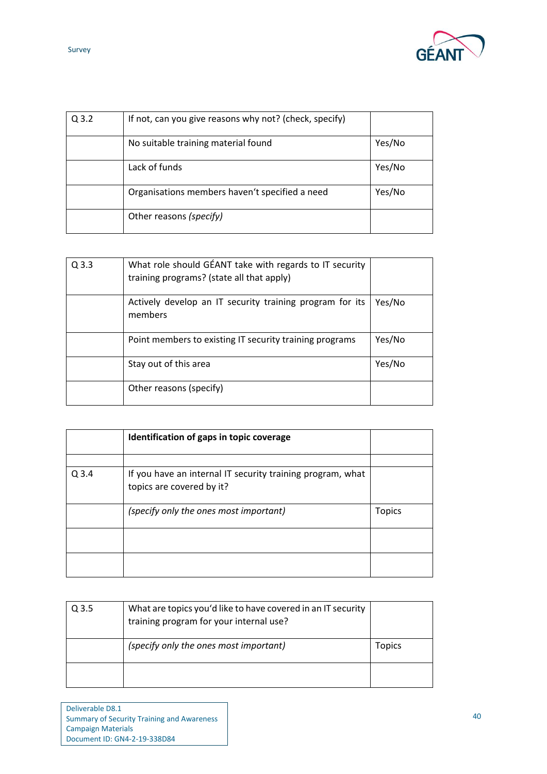

| $Q$ 3.2 | If not, can you give reasons why not? (check, specify) |        |
|---------|--------------------------------------------------------|--------|
|         | No suitable training material found                    | Yes/No |
|         | Lack of funds                                          | Yes/No |
|         | Organisations members haven't specified a need         | Yes/No |
|         | Other reasons (specify)                                |        |

| $Q$ 3.3 | What role should GÉANT take with regards to IT security<br>training programs? (state all that apply) |        |
|---------|------------------------------------------------------------------------------------------------------|--------|
|         | Actively develop an IT security training program for its<br>members                                  | Yes/No |
|         | Point members to existing IT security training programs                                              | Yes/No |
|         | Stay out of this area                                                                                | Yes/No |
|         | Other reasons (specify)                                                                              |        |

|         | Identification of gaps in topic coverage                                                |               |
|---------|-----------------------------------------------------------------------------------------|---------------|
|         |                                                                                         |               |
| $Q$ 3.4 | If you have an internal IT security training program, what<br>topics are covered by it? |               |
|         | (specify only the ones most important)                                                  | <b>Topics</b> |
|         |                                                                                         |               |
|         |                                                                                         |               |

| Q <sub>3.5</sub> | What are topics you'd like to have covered in an IT security<br>training program for your internal use? |        |
|------------------|---------------------------------------------------------------------------------------------------------|--------|
|                  | (specify only the ones most important)                                                                  | Topics |
|                  |                                                                                                         |        |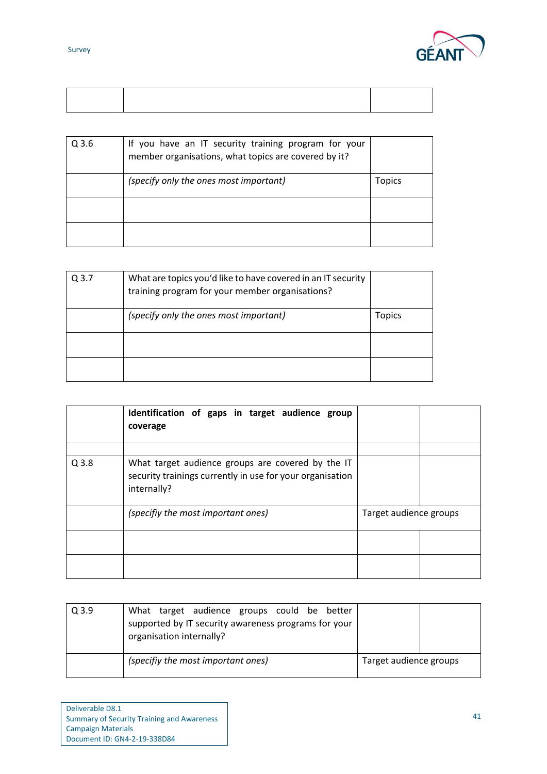



| Q <sub>3.6</sub> | If you have an IT security training program for your<br>member organisations, what topics are covered by it? |               |
|------------------|--------------------------------------------------------------------------------------------------------------|---------------|
|                  | (specify only the ones most important)                                                                       | <b>Topics</b> |
|                  |                                                                                                              |               |
|                  |                                                                                                              |               |

| Q 3.7 | What are topics you'd like to have covered in an IT security<br>training program for your member organisations? |               |
|-------|-----------------------------------------------------------------------------------------------------------------|---------------|
|       | (specify only the ones most important)                                                                          | <b>Topics</b> |
|       |                                                                                                                 |               |
|       |                                                                                                                 |               |

|         | Identification of gaps in target audience group<br>coverage                                                                   |                        |  |
|---------|-------------------------------------------------------------------------------------------------------------------------------|------------------------|--|
| $Q$ 3.8 | What target audience groups are covered by the IT<br>security trainings currently in use for your organisation<br>internally? |                        |  |
|         | (specifiy the most important ones)                                                                                            | Target audience groups |  |
|         |                                                                                                                               |                        |  |
|         |                                                                                                                               |                        |  |

| $Q$ 3.9 | What target audience groups could be better<br>supported by IT security awareness programs for your<br>organisation internally? |                        |
|---------|---------------------------------------------------------------------------------------------------------------------------------|------------------------|
|         | (specifiy the most important ones)                                                                                              | Target audience groups |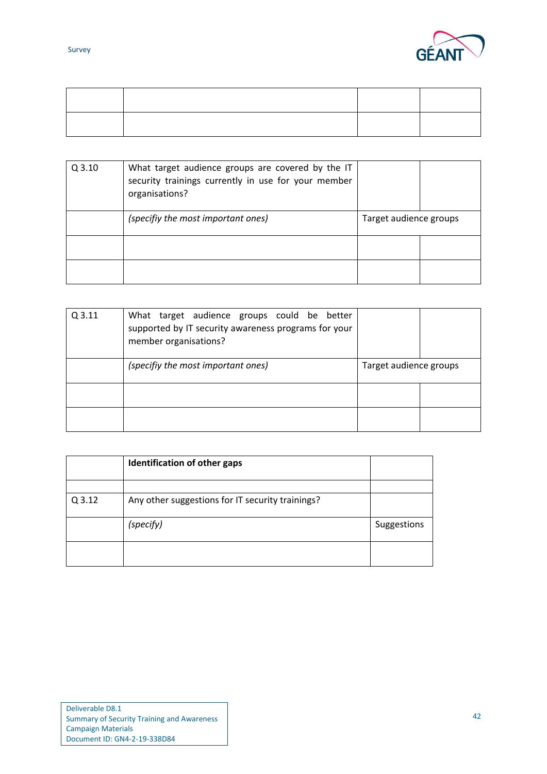

| $Q$ 3.10 | What target audience groups are covered by the IT<br>security trainings currently in use for your member<br>organisations? |                        |  |
|----------|----------------------------------------------------------------------------------------------------------------------------|------------------------|--|
|          | (specifiy the most important ones)                                                                                         | Target audience groups |  |
|          |                                                                                                                            |                        |  |
|          |                                                                                                                            |                        |  |

| $Q$ 3.11 | What target audience groups could be better<br>supported by IT security awareness programs for your<br>member organisations? |                        |  |
|----------|------------------------------------------------------------------------------------------------------------------------------|------------------------|--|
|          | (specifiy the most important ones)                                                                                           | Target audience groups |  |
|          |                                                                                                                              |                        |  |
|          |                                                                                                                              |                        |  |

|        | Identification of other gaps                     |             |
|--------|--------------------------------------------------|-------------|
|        |                                                  |             |
| Q 3.12 | Any other suggestions for IT security trainings? |             |
|        | (specify)                                        | Suggestions |
|        |                                                  |             |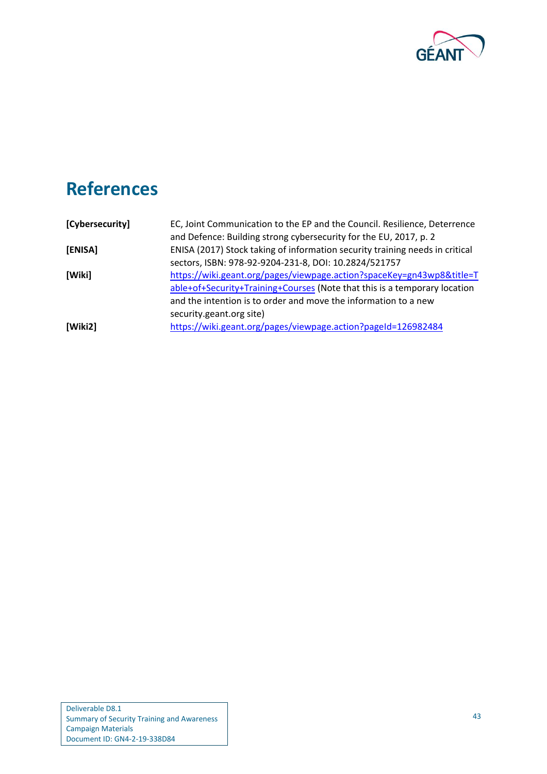

# <span id="page-45-5"></span><span id="page-45-4"></span><span id="page-45-0"></span>**References**

<span id="page-45-3"></span><span id="page-45-2"></span><span id="page-45-1"></span>

| [Cybersecurity] | EC, Joint Communication to the EP and the Council. Resilience, Deterrence    |
|-----------------|------------------------------------------------------------------------------|
|                 | and Defence: Building strong cybersecurity for the EU, 2017, p. 2            |
| [ENISA]         | ENISA (2017) Stock taking of information security training needs in critical |
|                 | sectors, ISBN: 978-92-9204-231-8, DOI: 10.2824/521757                        |
| [Wiki]          | https://wiki.geant.org/pages/viewpage.action?spaceKey=gn43wp8&title=T        |
|                 | able+of+Security+Training+Courses (Note that this is a temporary location    |
|                 | and the intention is to order and move the information to a new              |
|                 | security.geant.org site)                                                     |
| [Wiki2]         | https://wiki.geant.org/pages/viewpage.action?pageId=126982484                |